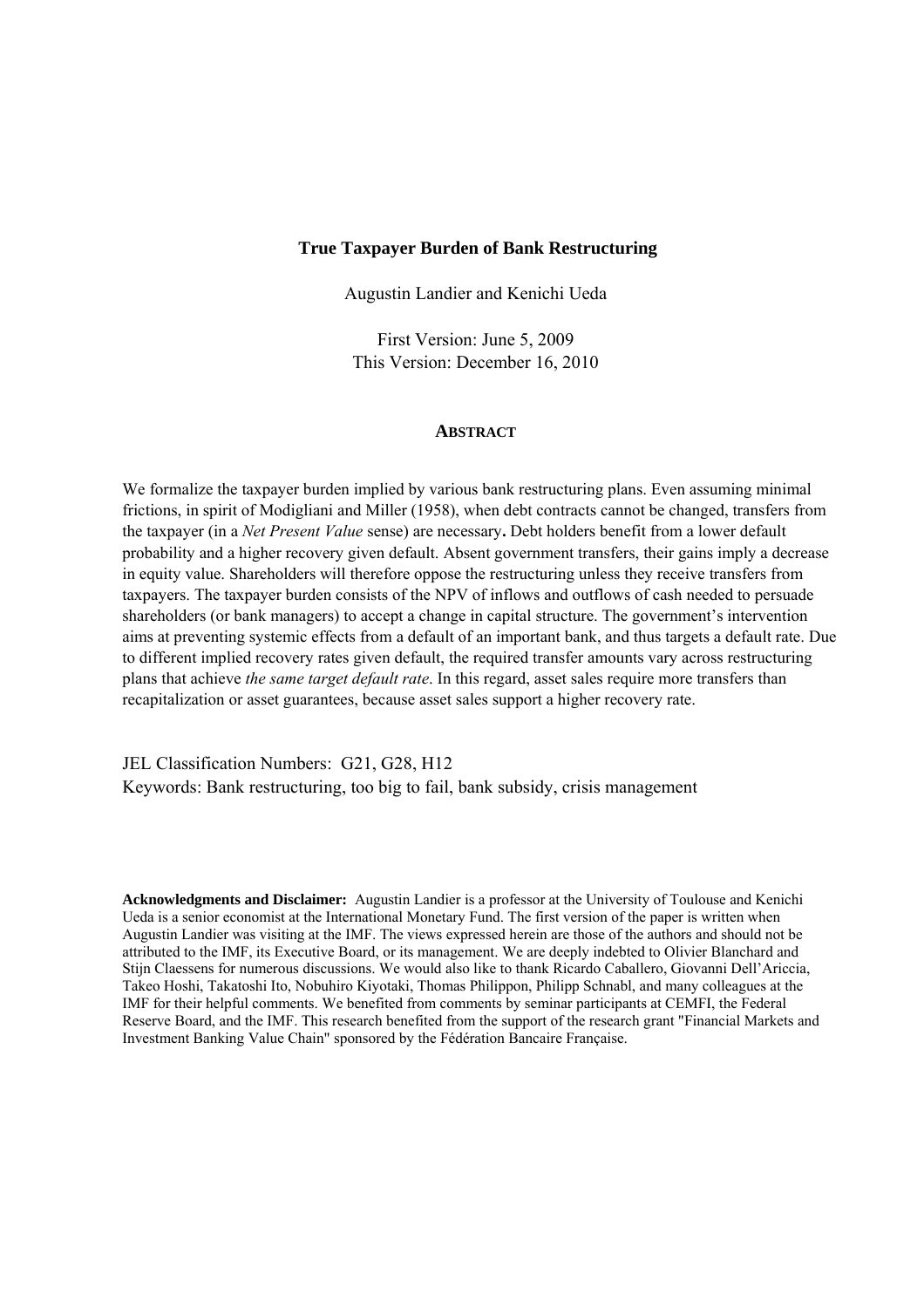#### **True Taxpayer Burden of Bank Restructuring**

Augustin Landier and Kenichi Ueda

First Version: June 5, 2009 This Version: December 16, 2010

### **ABSTRACT**

We formalize the taxpayer burden implied by various bank restructuring plans. Even assuming minimal frictions, in spirit of Modigliani and Miller (1958), when debt contracts cannot be changed, transfers from the taxpayer (in a *Net Present Value* sense) are necessary**.** Debt holders benefit from a lower default probability and a higher recovery given default. Absent government transfers, their gains imply a decrease in equity value. Shareholders will therefore oppose the restructuring unless they receive transfers from taxpayers. The taxpayer burden consists of the NPV of inflows and outflows of cash needed to persuade shareholders (or bank managers) to accept a change in capital structure. The government's intervention aims at preventing systemic effects from a default of an important bank, and thus targets a default rate. Due to different implied recovery rates given default, the required transfer amounts vary across restructuring plans that achieve *the same target default rate*. In this regard, asset sales require more transfers than recapitalization or asset guarantees, because asset sales support a higher recovery rate.

JEL Classification Numbers: G21, G28, H12 Keywords: Bank restructuring, too big to fail, bank subsidy, crisis management

**Acknowledgments and Disclaimer:** Augustin Landier is a professor at the University of Toulouse and Kenichi Ueda is a senior economist at the International Monetary Fund. The first version of the paper is written when Augustin Landier was visiting at the IMF. The views expressed herein are those of the authors and should not be attributed to the IMF, its Executive Board, or its management. We are deeply indebted to Olivier Blanchard and Stijn Claessens for numerous discussions. We would also like to thank Ricardo Caballero, Giovanni Dell'Ariccia, Takeo Hoshi, Takatoshi Ito, Nobuhiro Kiyotaki, Thomas Philippon, Philipp Schnabl, and many colleagues at the IMF for their helpful comments. We benefited from comments by seminar participants at CEMFI, the Federal Reserve Board, and the IMF. This research benefited from the support of the research grant "Financial Markets and Investment Banking Value Chain" sponsored by the Fédération Bancaire Française.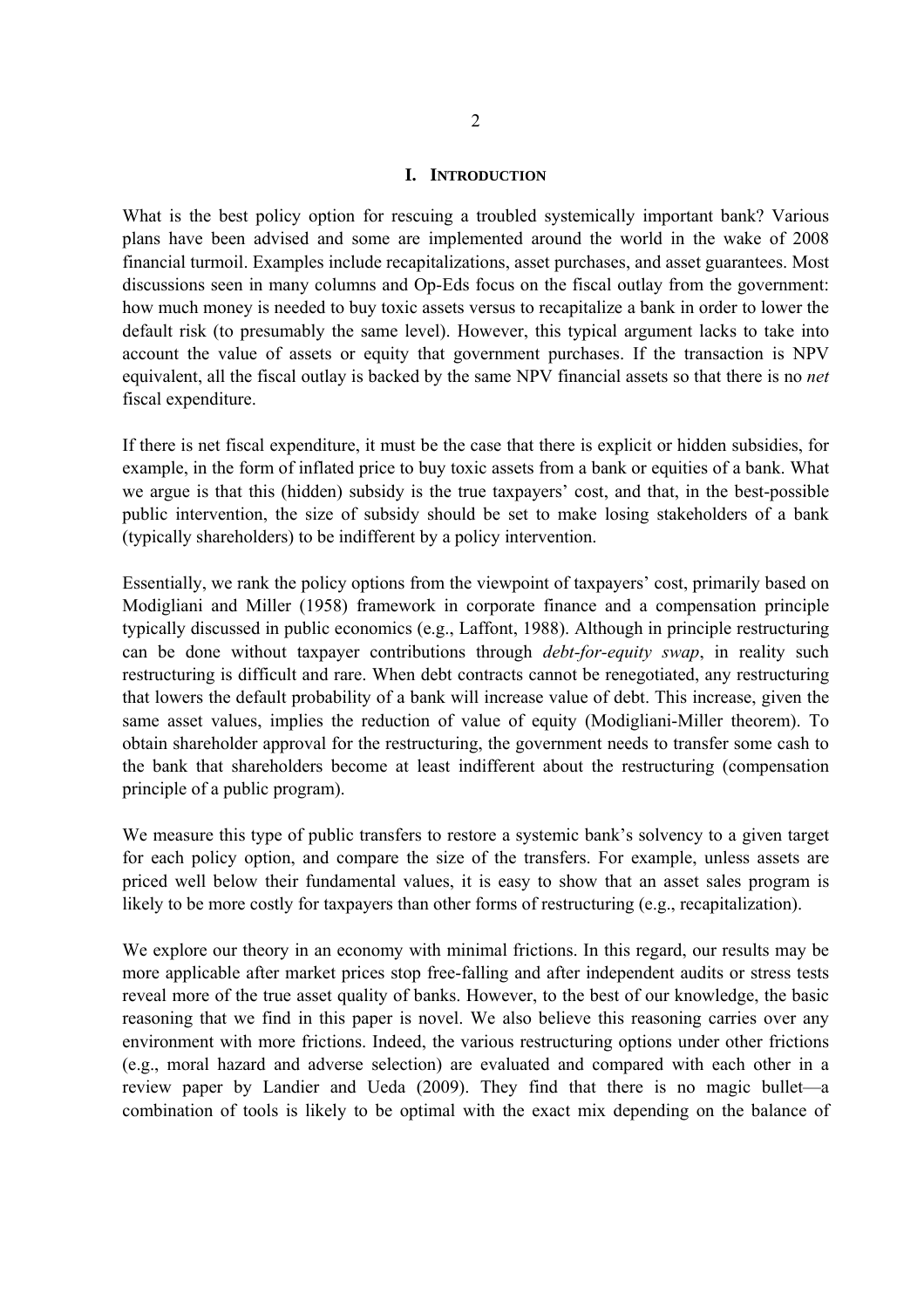#### **I. INTRODUCTION**

What is the best policy option for rescuing a troubled systemically important bank? Various plans have been advised and some are implemented around the world in the wake of 2008 financial turmoil. Examples include recapitalizations, asset purchases, and asset guarantees. Most discussions seen in many columns and Op-Eds focus on the fiscal outlay from the government: how much money is needed to buy toxic assets versus to recapitalize a bank in order to lower the default risk (to presumably the same level). However, this typical argument lacks to take into account the value of assets or equity that government purchases. If the transaction is NPV equivalent, all the fiscal outlay is backed by the same NPV financial assets so that there is no *net*  fiscal expenditure.

If there is net fiscal expenditure, it must be the case that there is explicit or hidden subsidies, for example, in the form of inflated price to buy toxic assets from a bank or equities of a bank. What we argue is that this (hidden) subsidy is the true taxpayers' cost, and that, in the best-possible public intervention, the size of subsidy should be set to make losing stakeholders of a bank (typically shareholders) to be indifferent by a policy intervention.

Essentially, we rank the policy options from the viewpoint of taxpayers' cost, primarily based on Modigliani and Miller (1958) framework in corporate finance and a compensation principle typically discussed in public economics (e.g., Laffont, 1988). Although in principle restructuring can be done without taxpayer contributions through *debt-for-equity swap*, in reality such restructuring is difficult and rare. When debt contracts cannot be renegotiated, any restructuring that lowers the default probability of a bank will increase value of debt. This increase, given the same asset values, implies the reduction of value of equity (Modigliani-Miller theorem). To obtain shareholder approval for the restructuring, the government needs to transfer some cash to the bank that shareholders become at least indifferent about the restructuring (compensation principle of a public program).

We measure this type of public transfers to restore a systemic bank's solvency to a given target for each policy option, and compare the size of the transfers. For example, unless assets are priced well below their fundamental values, it is easy to show that an asset sales program is likely to be more costly for taxpayers than other forms of restructuring (e.g., recapitalization).

We explore our theory in an economy with minimal frictions. In this regard, our results may be more applicable after market prices stop free-falling and after independent audits or stress tests reveal more of the true asset quality of banks. However, to the best of our knowledge, the basic reasoning that we find in this paper is novel. We also believe this reasoning carries over any environment with more frictions. Indeed, the various restructuring options under other frictions (e.g., moral hazard and adverse selection) are evaluated and compared with each other in a review paper by Landier and Ueda (2009). They find that there is no magic bullet—a combination of tools is likely to be optimal with the exact mix depending on the balance of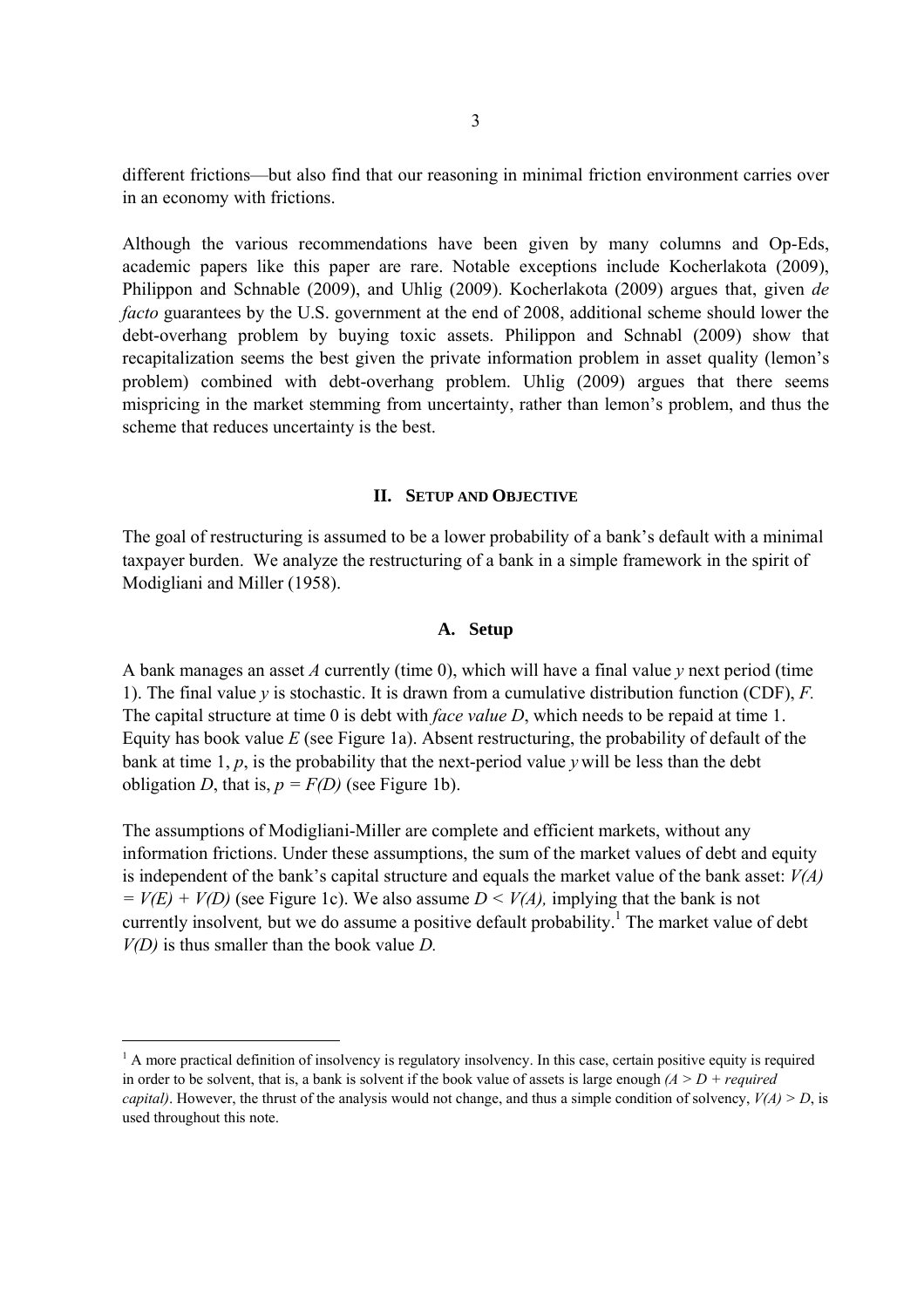different frictions—but also find that our reasoning in minimal friction environment carries over in an economy with frictions.

Although the various recommendations have been given by many columns and Op-Eds, academic papers like this paper are rare. Notable exceptions include Kocherlakota (2009), Philippon and Schnable (2009), and Uhlig (2009). Kocherlakota (2009) argues that, given *de facto* guarantees by the U.S. government at the end of 2008, additional scheme should lower the debt-overhang problem by buying toxic assets. Philippon and Schnabl (2009) show that recapitalization seems the best given the private information problem in asset quality (lemon's problem) combined with debt-overhang problem. Uhlig (2009) argues that there seems mispricing in the market stemming from uncertainty, rather than lemon's problem, and thus the scheme that reduces uncertainty is the best.

#### **II. SETUP AND OBJECTIVE**

The goal of restructuring is assumed to be a lower probability of a bank's default with a minimal taxpayer burden. We analyze the restructuring of a bank in a simple framework in the spirit of Modigliani and Miller (1958).

# **A. Setup**

A bank manages an asset *A* currently (time 0), which will have a final value *y* next period (time 1). The final value *y* is stochastic. It is drawn from a cumulative distribution function (CDF), *F.* The capital structure at time 0 is debt with *face value D*, which needs to be repaid at time 1. Equity has book value *E* (see Figure 1a). Absent restructuring, the probability of default of the bank at time 1, *p*, is the probability that the next-period value *y* will be less than the debt obligation *D*, that is,  $p = F(D)$  (see Figure 1b).

The assumptions of Modigliani-Miller are complete and efficient markets, without any information frictions. Under these assumptions, the sum of the market values of debt and equity is independent of the bank's capital structure and equals the market value of the bank asset: *V(A)*   $= V(E) + V(D)$  (see Figure 1c). We also assume  $D \le V(A)$ , implying that the bank is not currently insolvent, but we do assume a positive default probability.<sup>1</sup> The market value of debt *V(D)* is thus smaller than the book value *D.* 

 $<sup>1</sup>$  A more practical definition of insolvency is regulatory insolvency. In this case, certain positive equity is required</sup> in order to be solvent, that is, a bank is solvent if the book value of assets is large enough  $(A > D + required$ *capital*). However, the thrust of the analysis would not change, and thus a simple condition of solvency,  $V(A) > D$ , is used throughout this note.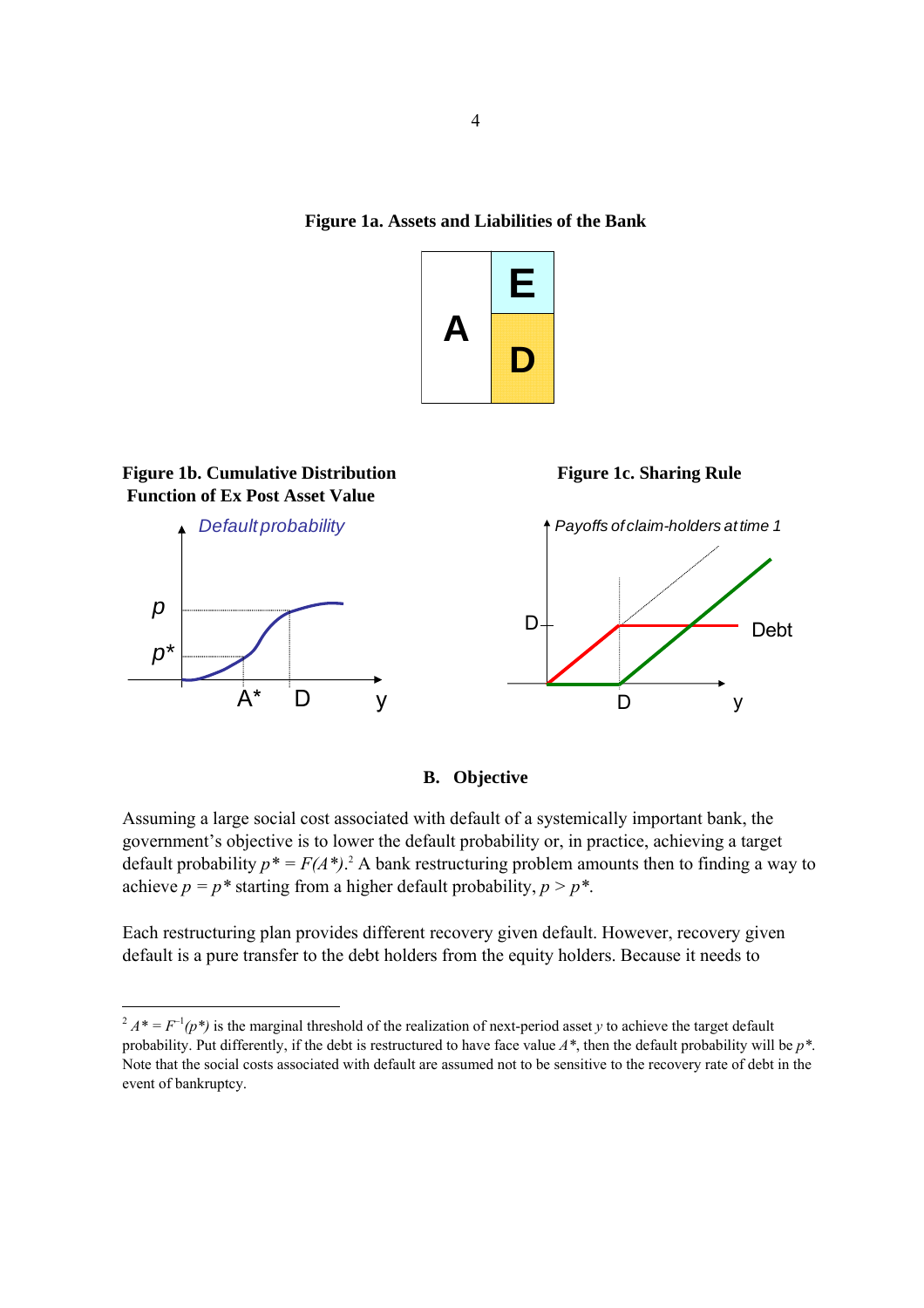**Figure 1a. Assets and Liabilities of the Bank** 





**B. Objective** 

Assuming a large social cost associated with default of a systemically important bank, the government's objective is to lower the default probability or, in practice, achieving a target default probability  $p^* = F(A^*)$ .<sup>2</sup> A bank restructuring problem amounts then to finding a way to achieve  $p = p^*$  starting from a higher default probability,  $p > p^*$ .

Each restructuring plan provides different recovery given default. However, recovery given default is a pure transfer to the debt holders from the equity holders. Because it needs to

 $2 A^* = F^{-1}(p^*)$  is the marginal threshold of the realization of next-period asset *y* to achieve the target default probability. Put differently, if the debt is restructured to have face value *A\**, then the default probability will be *p\**. Note that the social costs associated with default are assumed not to be sensitive to the recovery rate of debt in the event of bankruptcy.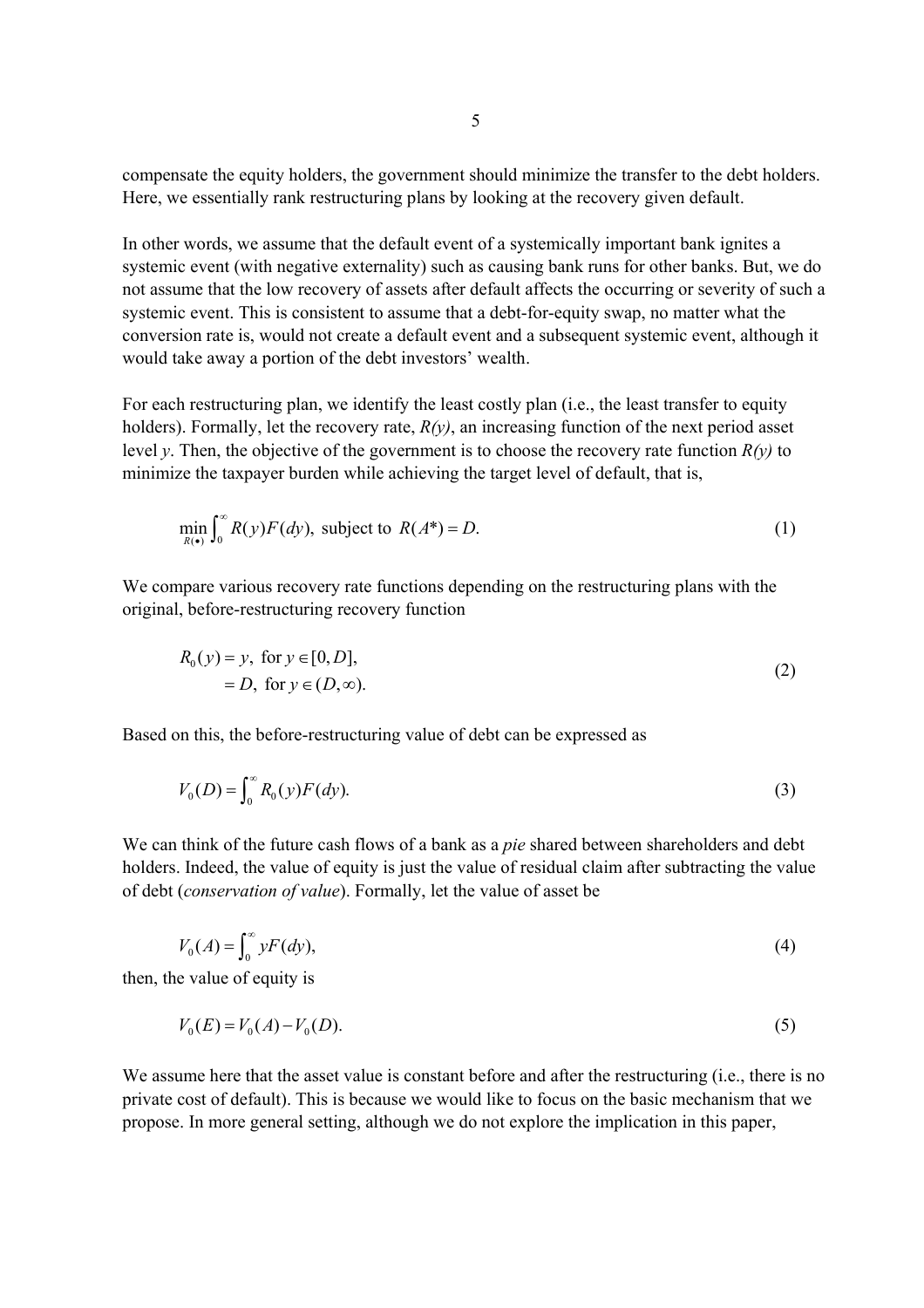compensate the equity holders, the government should minimize the transfer to the debt holders. Here, we essentially rank restructuring plans by looking at the recovery given default.

In other words, we assume that the default event of a systemically important bank ignites a systemic event (with negative externality) such as causing bank runs for other banks. But, we do not assume that the low recovery of assets after default affects the occurring or severity of such a systemic event. This is consistent to assume that a debt-for-equity swap, no matter what the conversion rate is, would not create a default event and a subsequent systemic event, although it would take away a portion of the debt investors' wealth.

For each restructuring plan, we identify the least costly plan (i.e., the least transfer to equity holders). Formally, let the recovery rate, *R(y)*, an increasing function of the next period asset level *y*. Then, the objective of the government is to choose the recovery rate function  $R(y)$  to minimize the taxpayer burden while achieving the target level of default, that is,

$$
\min_{R(\bullet)} \int_0^\infty R(y) F(dy), \text{ subject to } R(A^*) = D. \tag{1}
$$

We compare various recovery rate functions depending on the restructuring plans with the original, before-restructuring recovery function

$$
R_0(y) = y, \text{ for } y \in [0, D],
$$
  
= D, for  $y \in (D, \infty)$ . (2)

Based on this, the before-restructuring value of debt can be expressed as

$$
V_0(D) = \int_0^\infty R_0(y) F(dy).
$$
 (3)

We can think of the future cash flows of a bank as a *pie* shared between shareholders and debt holders. Indeed, the value of equity is just the value of residual claim after subtracting the value of debt (*conservation of value*). Formally, let the value of asset be

$$
V_0(A) = \int_0^\infty y F(dy),\tag{4}
$$

then, the value of equity is

$$
V_0(E) = V_0(A) - V_0(D). \tag{5}
$$

We assume here that the asset value is constant before and after the restructuring (i.e., there is no private cost of default). This is because we would like to focus on the basic mechanism that we propose. In more general setting, although we do not explore the implication in this paper,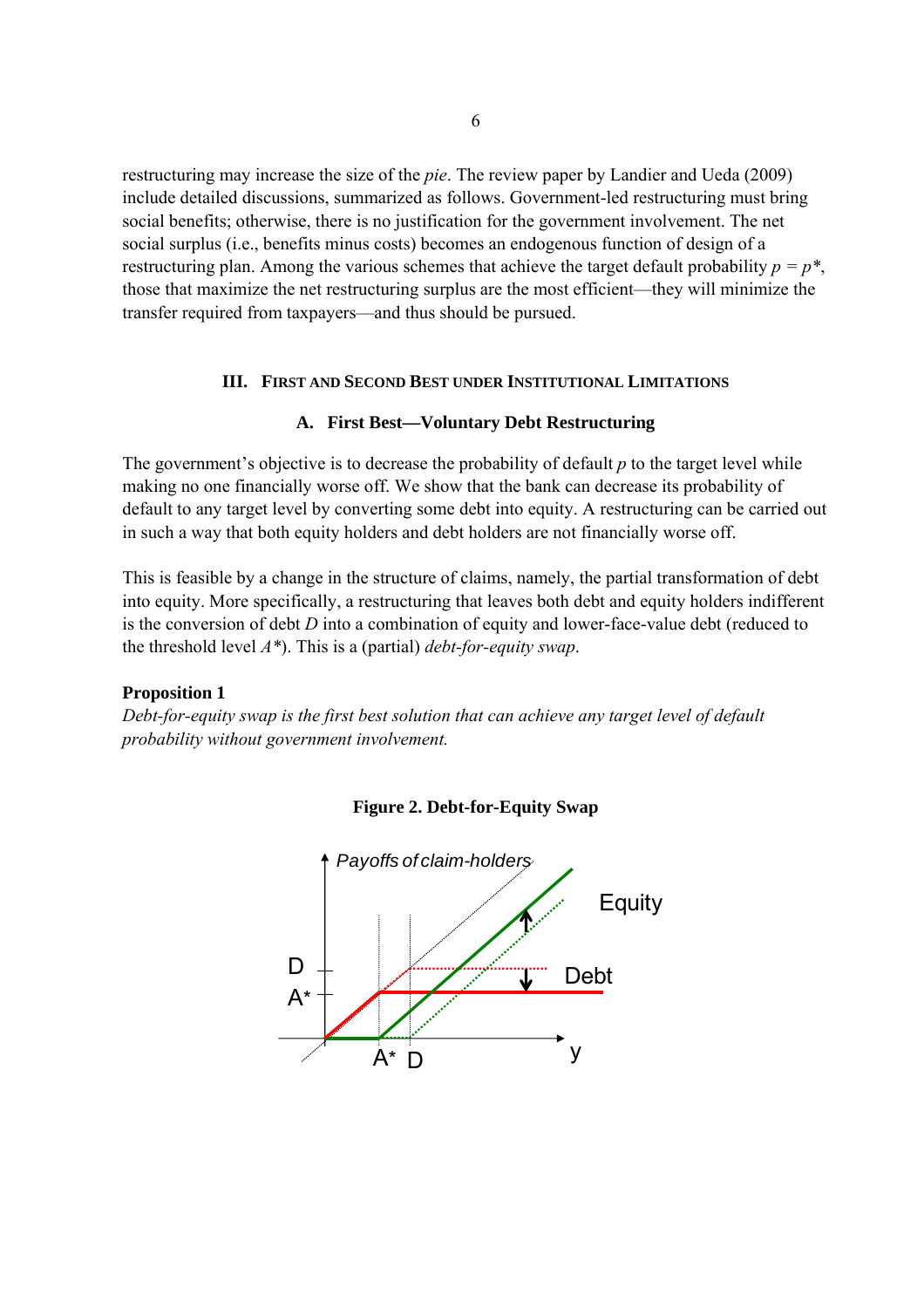restructuring may increase the size of the *pie*. The review paper by Landier and Ueda (2009) include detailed discussions, summarized as follows. Government-led restructuring must bring social benefits; otherwise, there is no justification for the government involvement. The net social surplus (i.e., benefits minus costs) becomes an endogenous function of design of a restructuring plan. Among the various schemes that achieve the target default probability  $p = p^*$ , those that maximize the net restructuring surplus are the most efficient—they will minimize the transfer required from taxpayers—and thus should be pursued.

# **III. FIRST AND SECOND BEST UNDER INSTITUTIONAL LIMITATIONS**

# **A. First Best—Voluntary Debt Restructuring**

The government's objective is to decrease the probability of default *p* to the target level while making no one financially worse off. We show that the bank can decrease its probability of default to any target level by converting some debt into equity. A restructuring can be carried out in such a way that both equity holders and debt holders are not financially worse off.

This is feasible by a change in the structure of claims, namely, the partial transformation of debt into equity. More specifically, a restructuring that leaves both debt and equity holders indifferent is the conversion of debt *D* into a combination of equity and lower-face-value debt (reduced to the threshold level *A\**). This is a (partial) *debt-for-equity swap*.

# **Proposition 1**

*Debt-for-equity swap is the first best solution that can achieve any target level of default probability without government involvement.* 



**Figure 2. Debt-for-Equity Swap**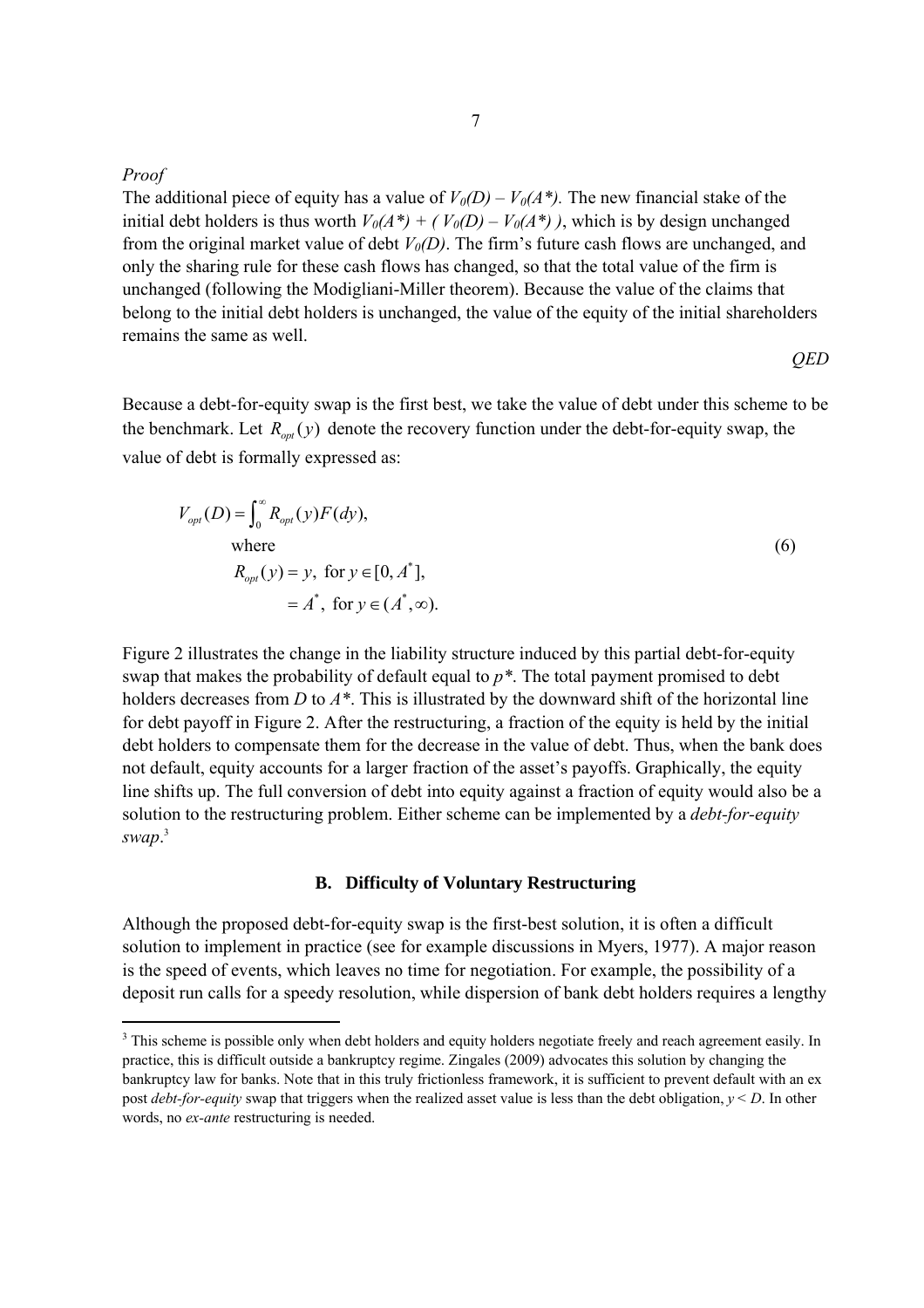*Proof* 

The additional piece of equity has a value of  $V_0(D) - V_0(A^*)$ . The new financial stake of the initial debt holders is thus worth  $V_0(A^*) + (V_0(D) - V_0(A^*))$ , which is by design unchanged from the original market value of debt  $V_0(D)$ . The firm's future cash flows are unchanged, and only the sharing rule for these cash flows has changed, so that the total value of the firm is unchanged (following the Modigliani-Miller theorem). Because the value of the claims that belong to the initial debt holders is unchanged, the value of the equity of the initial shareholders remains the same as well.

*QED* 

Because a debt-for-equity swap is the first best, we take the value of debt under this scheme to be the benchmark. Let  $R_{opt}(y)$  denote the recovery function under the debt-for-equity swap, the value of debt is formally expressed as:

$$
V_{opt}(D) = \int_0^\infty R_{opt}(y) F(dy),
$$
  
where  

$$
R_{opt}(y) = y, \text{ for } y \in [0, A^*],
$$

$$
= A^*, \text{ for } y \in (A^*, \infty).
$$
 (6)

Figure 2 illustrates the change in the liability structure induced by this partial debt-for-equity swap that makes the probability of default equal to *p\**. The total payment promised to debt holders decreases from *D* to *A\**. This is illustrated by the downward shift of the horizontal line for debt payoff in Figure 2. After the restructuring, a fraction of the equity is held by the initial debt holders to compensate them for the decrease in the value of debt. Thus, when the bank does not default, equity accounts for a larger fraction of the asset's payoffs. Graphically, the equity line shifts up. The full conversion of debt into equity against a fraction of equity would also be a solution to the restructuring problem. Either scheme can be implemented by a *debt-for-equity swap*. 3

### **B. Difficulty of Voluntary Restructuring**

Although the proposed debt-for-equity swap is the first-best solution, it is often a difficult solution to implement in practice (see for example discussions in Myers, 1977). A major reason is the speed of events, which leaves no time for negotiation. For example, the possibility of a deposit run calls for a speedy resolution, while dispersion of bank debt holders requires a lengthy

 $3$  This scheme is possible only when debt holders and equity holders negotiate freely and reach agreement easily. In practice, this is difficult outside a bankruptcy regime. Zingales (2009) advocates this solution by changing the bankruptcy law for banks. Note that in this truly frictionless framework, it is sufficient to prevent default with an ex post *debt-for-equity* swap that triggers when the realized asset value is less than the debt obligation, *y< D*. In other words, no *ex-ante* restructuring is needed.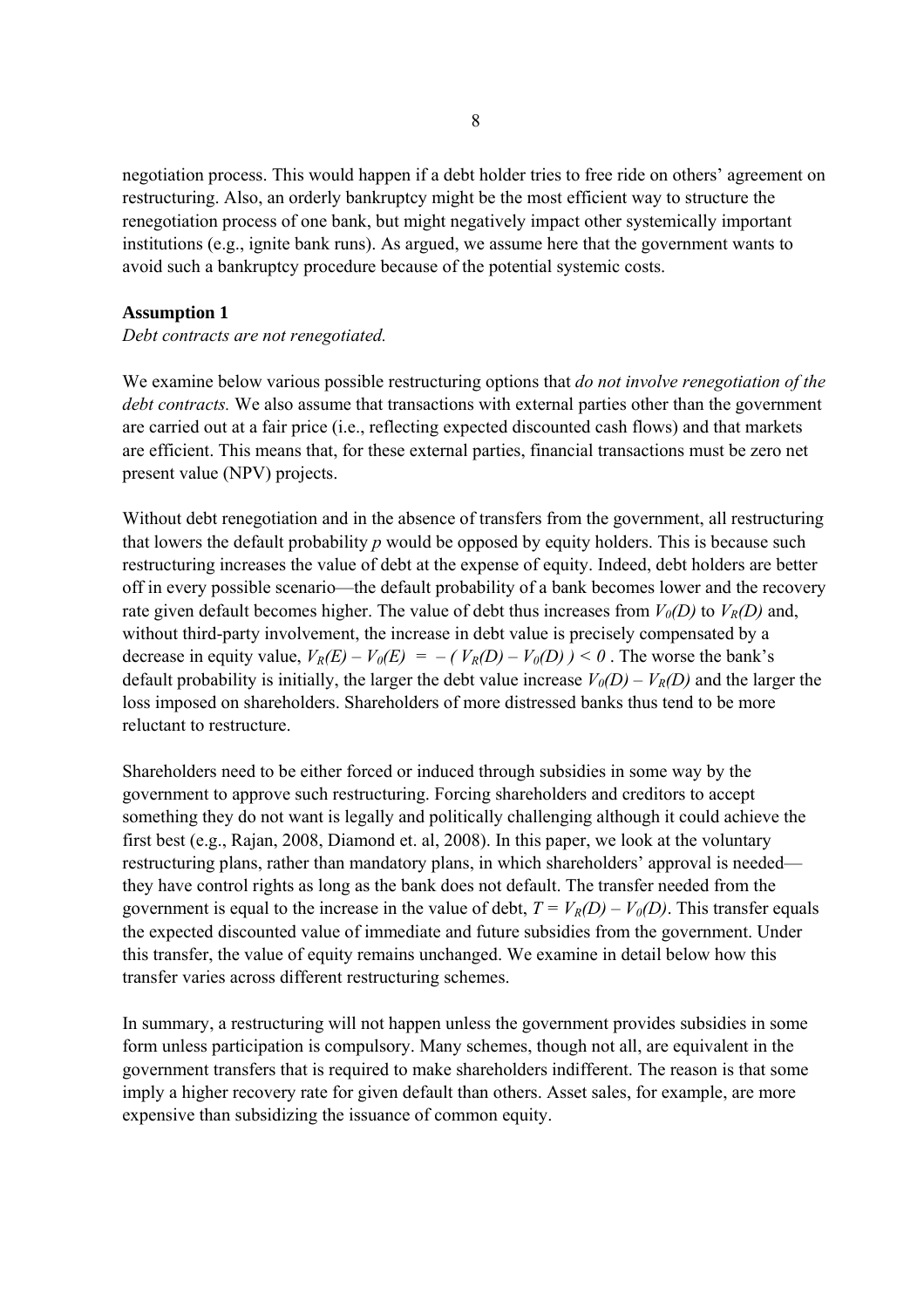negotiation process. This would happen if a debt holder tries to free ride on others' agreement on restructuring. Also, an orderly bankruptcy might be the most efficient way to structure the renegotiation process of one bank, but might negatively impact other systemically important institutions (e.g., ignite bank runs). As argued, we assume here that the government wants to avoid such a bankruptcy procedure because of the potential systemic costs.

# **Assumption 1**

# *Debt contracts are not renegotiated.*

We examine below various possible restructuring options that *do not involve renegotiation of the debt contracts.* We also assume that transactions with external parties other than the government are carried out at a fair price (i.e., reflecting expected discounted cash flows) and that markets are efficient. This means that, for these external parties, financial transactions must be zero net present value (NPV) projects.

Without debt renegotiation and in the absence of transfers from the government, all restructuring that lowers the default probability *p* would be opposed by equity holders. This is because such restructuring increases the value of debt at the expense of equity. Indeed, debt holders are better off in every possible scenario—the default probability of a bank becomes lower and the recovery rate given default becomes higher. The value of debt thus increases from  $V_0(D)$  to  $V_R(D)$  and, without third-party involvement, the increase in debt value is precisely compensated by a decrease in equity value,  $V_R(E) - V_0(E) = -(V_R(D) - V_0(D)) < 0$ . The worse the bank's default probability is initially, the larger the debt value increase  $V_0(D) - V_R(D)$  and the larger the loss imposed on shareholders. Shareholders of more distressed banks thus tend to be more reluctant to restructure.

Shareholders need to be either forced or induced through subsidies in some way by the government to approve such restructuring. Forcing shareholders and creditors to accept something they do not want is legally and politically challenging although it could achieve the first best (e.g., Rajan, 2008, Diamond et. al, 2008). In this paper, we look at the voluntary restructuring plans, rather than mandatory plans, in which shareholders' approval is needed they have control rights as long as the bank does not default. The transfer needed from the government is equal to the increase in the value of debt,  $T = V_R(D) - V_0(D)$ . This transfer equals the expected discounted value of immediate and future subsidies from the government. Under this transfer, the value of equity remains unchanged. We examine in detail below how this transfer varies across different restructuring schemes.

In summary, a restructuring will not happen unless the government provides subsidies in some form unless participation is compulsory. Many schemes, though not all, are equivalent in the government transfers that is required to make shareholders indifferent. The reason is that some imply a higher recovery rate for given default than others. Asset sales, for example, are more expensive than subsidizing the issuance of common equity.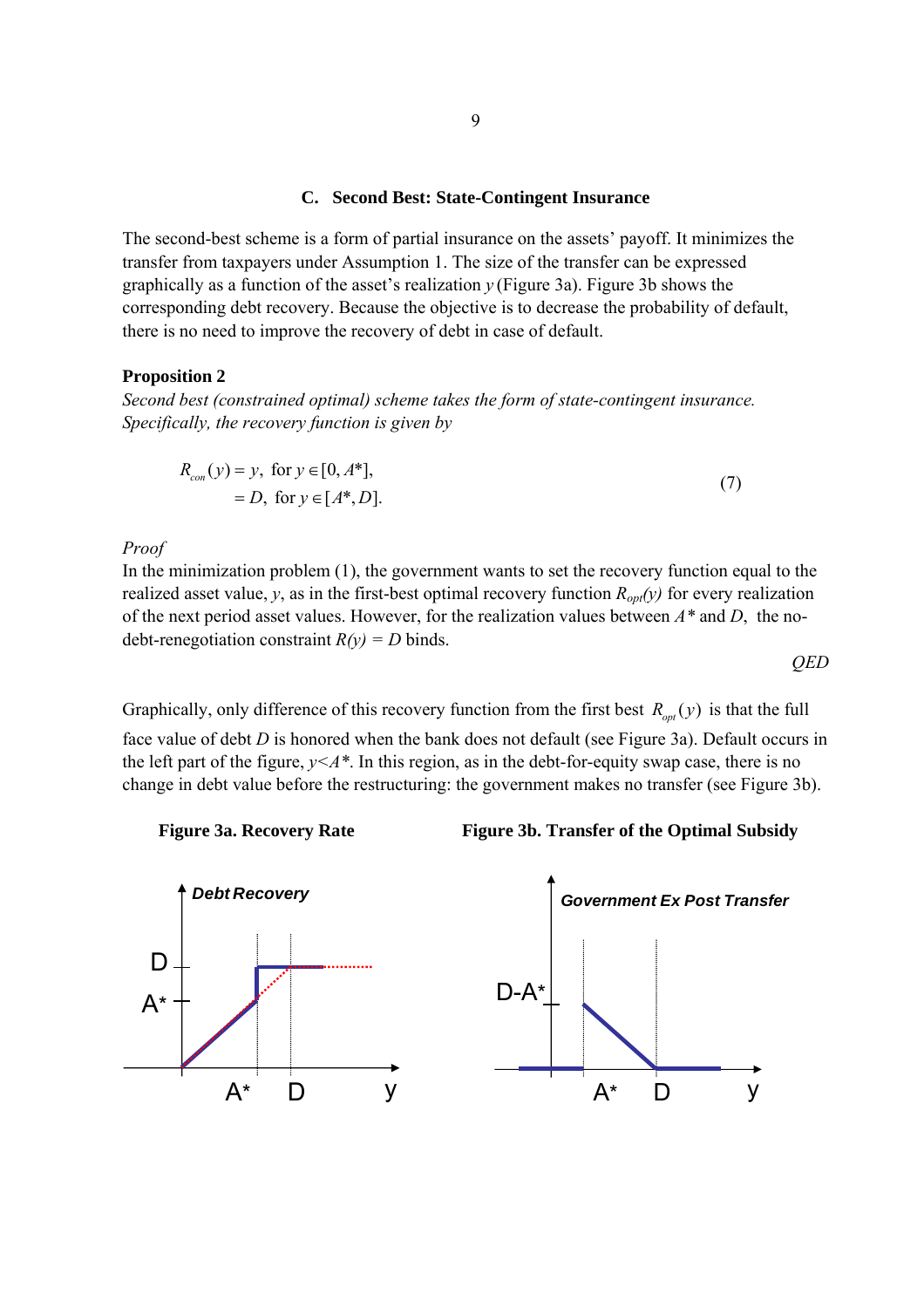# **C. Second Best: State-Contingent Insurance**

The second-best scheme is a form of partial insurance on the assets' payoff. It minimizes the transfer from taxpayers under Assumption 1. The size of the transfer can be expressed graphically as a function of the asset's realization  $\gamma$  (Figure 3a). Figure 3b shows the corresponding debt recovery. Because the objective is to decrease the probability of default, there is no need to improve the recovery of debt in case of default.

### **Proposition 2**

*Second best (constrained optimal) scheme takes the form of state-contingent insurance. Specifically, the recovery function is given by* 

$$
R_{con}(y) = y, \text{ for } y \in [0, A^*],
$$
  
= D, for  $y \in [A^*, D].$  (7)

#### *Proof*

In the minimization problem (1), the government wants to set the recovery function equal to the realized asset value, *y*, as in the first-best optimal recovery function  $R_{opt}(y)$  for every realization of the next period asset values. However, for the realization values between *A\** and *D*, the nodebt-renegotiation constraint  $R(y) = D$  binds.

Graphically, only difference of this recovery function from the first best 
$$
R_{opt}(y)
$$
 is that the full

face value of debt *D* is honored when the bank does not default (see Figure 3a). Default occurs in the left part of the figure,  $y \leq A^*$ . In this region, as in the debt-for-equity swap case, there is no change in debt value before the restructuring: the government makes no transfer (see Figure 3b).



*QED* 



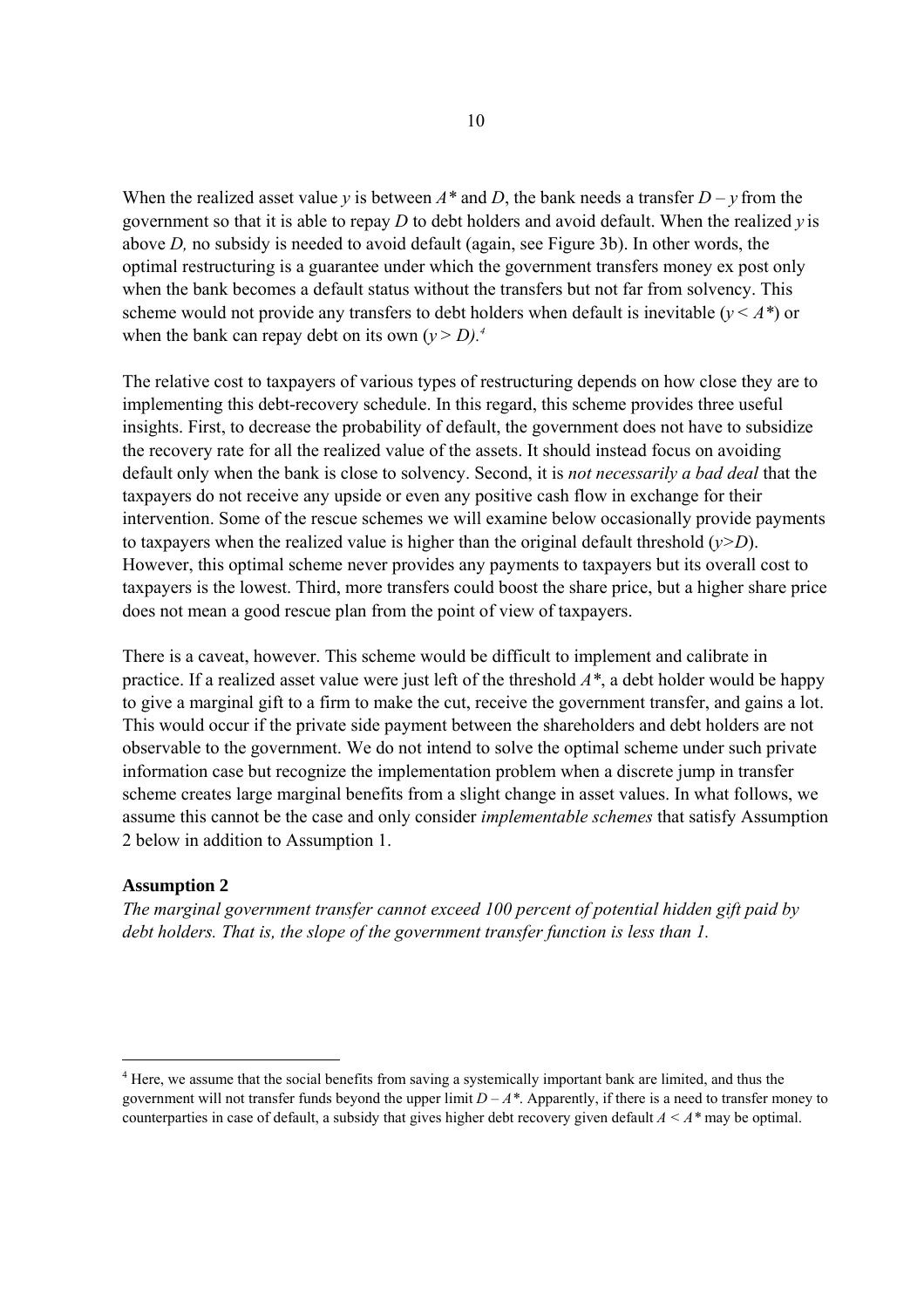When the realized asset value *y* is between  $A^*$  and *D*, the bank needs a transfer  $D - v$  from the government so that it is able to repay *D* to debt holders and avoid default. When the realized *y* is above *D,* no subsidy is needed to avoid default (again, see Figure 3b). In other words, the optimal restructuring is a guarantee under which the government transfers money ex post only when the bank becomes a default status without the transfers but not far from solvency. This scheme would not provide any transfers to debt holders when default is inevitable ( $y \leq A^*$ ) or when the bank can repay debt on its own  $(y > D)^4$ .

The relative cost to taxpayers of various types of restructuring depends on how close they are to implementing this debt-recovery schedule. In this regard, this scheme provides three useful insights. First, to decrease the probability of default, the government does not have to subsidize the recovery rate for all the realized value of the assets. It should instead focus on avoiding default only when the bank is close to solvency. Second, it is *not necessarily a bad deal* that the taxpayers do not receive any upside or even any positive cash flow in exchange for their intervention. Some of the rescue schemes we will examine below occasionally provide payments to taxpayers when the realized value is higher than the original default threshold  $(y>D)$ . However, this optimal scheme never provides any payments to taxpayers but its overall cost to taxpayers is the lowest. Third, more transfers could boost the share price, but a higher share price does not mean a good rescue plan from the point of view of taxpayers.

There is a caveat, however. This scheme would be difficult to implement and calibrate in practice. If a realized asset value were just left of the threshold *A\**, a debt holder would be happy to give a marginal gift to a firm to make the cut, receive the government transfer, and gains a lot. This would occur if the private side payment between the shareholders and debt holders are not observable to the government. We do not intend to solve the optimal scheme under such private information case but recognize the implementation problem when a discrete jump in transfer scheme creates large marginal benefits from a slight change in asset values. In what follows, we assume this cannot be the case and only consider *implementable schemes* that satisfy Assumption 2 below in addition to Assumption 1.

## **Assumption 2**

l

*The marginal government transfer cannot exceed 100 percent of potential hidden gift paid by debt holders. That is, the slope of the government transfer function is less than 1.* 

<sup>&</sup>lt;sup>4</sup> Here, we assume that the social benefits from saving a systemically important bank are limited, and thus the government will not transfer funds beyond the upper limit  $D - A^*$ . Apparently, if there is a need to transfer money to counterparties in case of default, a subsidy that gives higher debt recovery given default *A < A\** may be optimal.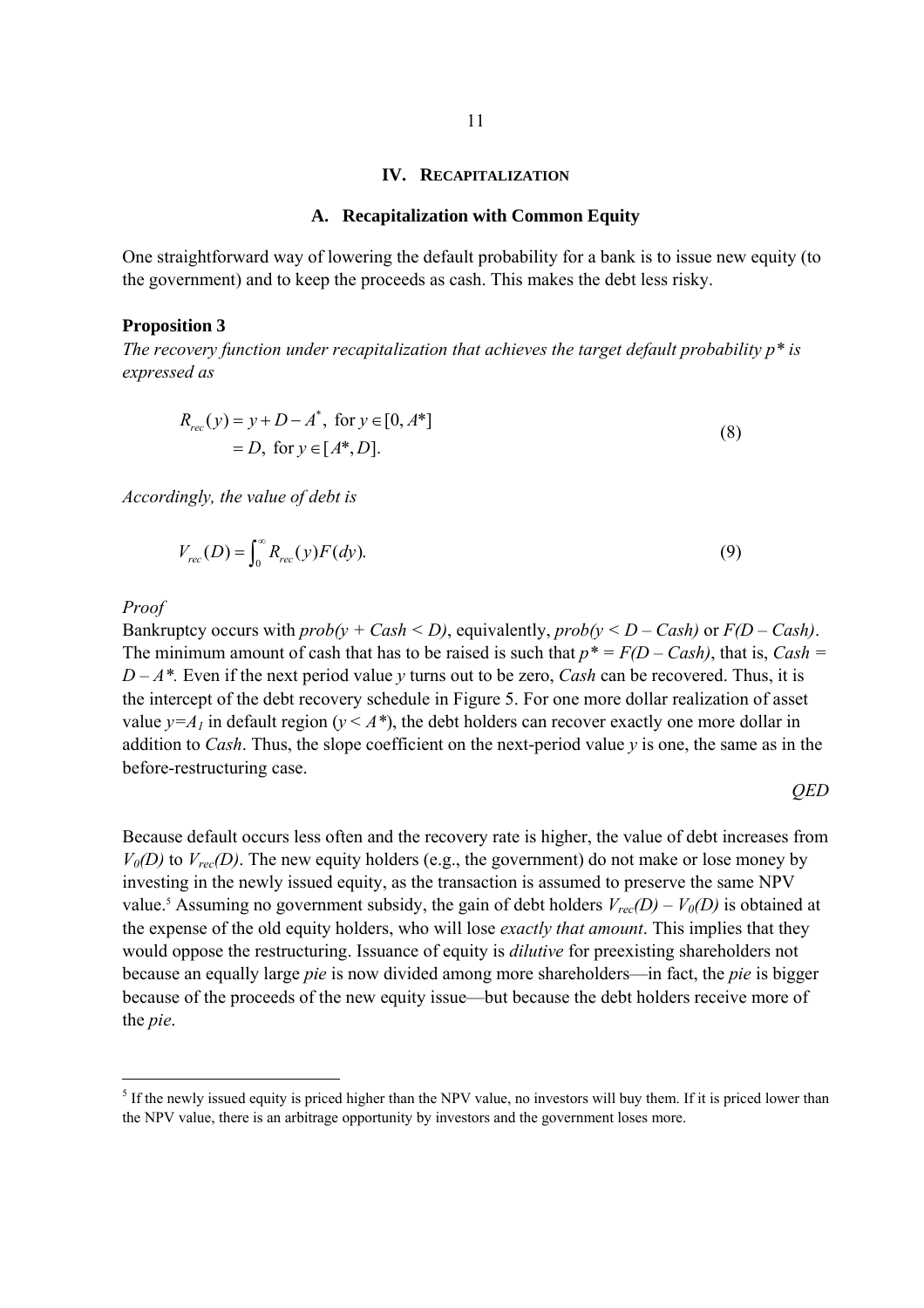#### **IV. RECAPITALIZATION**

### **A. Recapitalization with Common Equity**

One straightforward way of lowering the default probability for a bank is to issue new equity (to the government) and to keep the proceeds as cash. This makes the debt less risky.

#### **Proposition 3**

*The recovery function under recapitalization that achieves the target default probability p\* is expressed as* 

$$
R_{rec}(y) = y + D - A^*, \text{ for } y \in [0, A^*]
$$
  
= D, for  $y \in [A^*, D].$  (8)

*Accordingly, the value of debt is* 

$$
V_{rec}(D) = \int_0^\infty R_{rec}(y) F(dy).
$$
\n(9)

*Proof* 

Bankruptcy occurs with  $prob(y + Cash \le D)$ , equivalently,  $prob(y \le D - Cash)$  or  $F(D - Cash)$ . The minimum amount of cash that has to be raised is such that  $p^* = F(D - Cash)$ , that is, *Cash* =  $D - A^*$ . Even if the next period value *y* turns out to be zero, *Cash* can be recovered. Thus, it is the intercept of the debt recovery schedule in Figure 5. For one more dollar realization of asset value  $y = A_1$  in default region ( $y \leq A^*$ ), the debt holders can recover exactly one more dollar in addition to *Cash*. Thus, the slope coefficient on the next-period value  $\nu$  is one, the same as in the before-restructuring case.

# *QED*

Because default occurs less often and the recovery rate is higher, the value of debt increases from  $V_0(D)$  to  $V_{rec}(D)$ . The new equity holders (e.g., the government) do not make or lose money by investing in the newly issued equity, as the transaction is assumed to preserve the same NPV value.<sup>5</sup> Assuming no government subsidy, the gain of debt holders  $V_{rec}(D) - V_0(D)$  is obtained at the expense of the old equity holders, who will lose *exactly that amount*. This implies that they would oppose the restructuring. Issuance of equity is *dilutive* for preexisting shareholders not because an equally large *pie* is now divided among more shareholders—in fact, the *pie* is bigger because of the proceeds of the new equity issue—but because the debt holders receive more of the *pie*.

 $<sup>5</sup>$  If the newly issued equity is priced higher than the NPV value, no investors will buy them. If it is priced lower than</sup> the NPV value, there is an arbitrage opportunity by investors and the government loses more.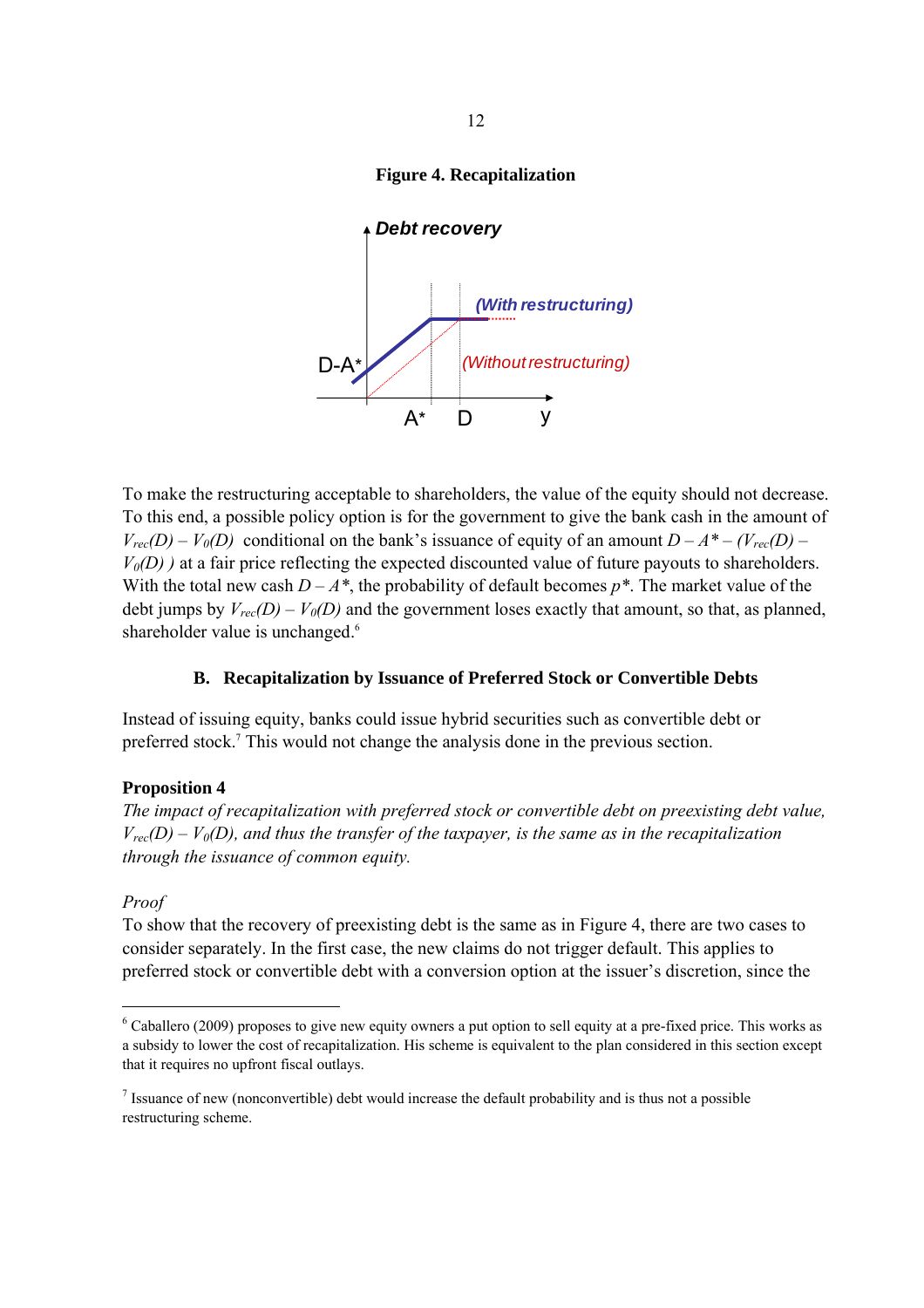# **Figure 4. Recapitalization**



To make the restructuring acceptable to shareholders, the value of the equity should not decrease. To this end, a possible policy option is for the government to give the bank cash in the amount of  $V_{rec}(D) - V_0(D)$  conditional on the bank's issuance of equity of an amount  $D - A^* - (V_{rec}(D) V_0(D)$ ) at a fair price reflecting the expected discounted value of future payouts to shareholders. With the total new cash  $D - A^*$ , the probability of default becomes  $p^*$ . The market value of the debt jumps by  $V_{rec}(D) - V_0(D)$  and the government loses exactly that amount, so that, as planned, shareholder value is unchanged.<sup>6</sup>

## **B. Recapitalization by Issuance of Preferred Stock or Convertible Debts**

Instead of issuing equity, banks could issue hybrid securities such as convertible debt or preferred stock.7 This would not change the analysis done in the previous section.

# **Proposition 4**

*The impact of recapitalization with preferred stock or convertible debt on preexisting debt value,*   $V_{rec}(D) - V_0(D)$ , and thus the transfer of the taxpayer, is the same as in the recapitalization *through the issuance of common equity.* 

## *Proof*

To show that the recovery of preexisting debt is the same as in Figure 4, there are two cases to consider separately. In the first case, the new claims do not trigger default. This applies to preferred stock or convertible debt with a conversion option at the issuer's discretion, since the

 $6$  Caballero (2009) proposes to give new equity owners a put option to sell equity at a pre-fixed price. This works as a subsidy to lower the cost of recapitalization. His scheme is equivalent to the plan considered in this section except that it requires no upfront fiscal outlays.

<sup>&</sup>lt;sup>7</sup> Issuance of new (nonconvertible) debt would increase the default probability and is thus not a possible restructuring scheme.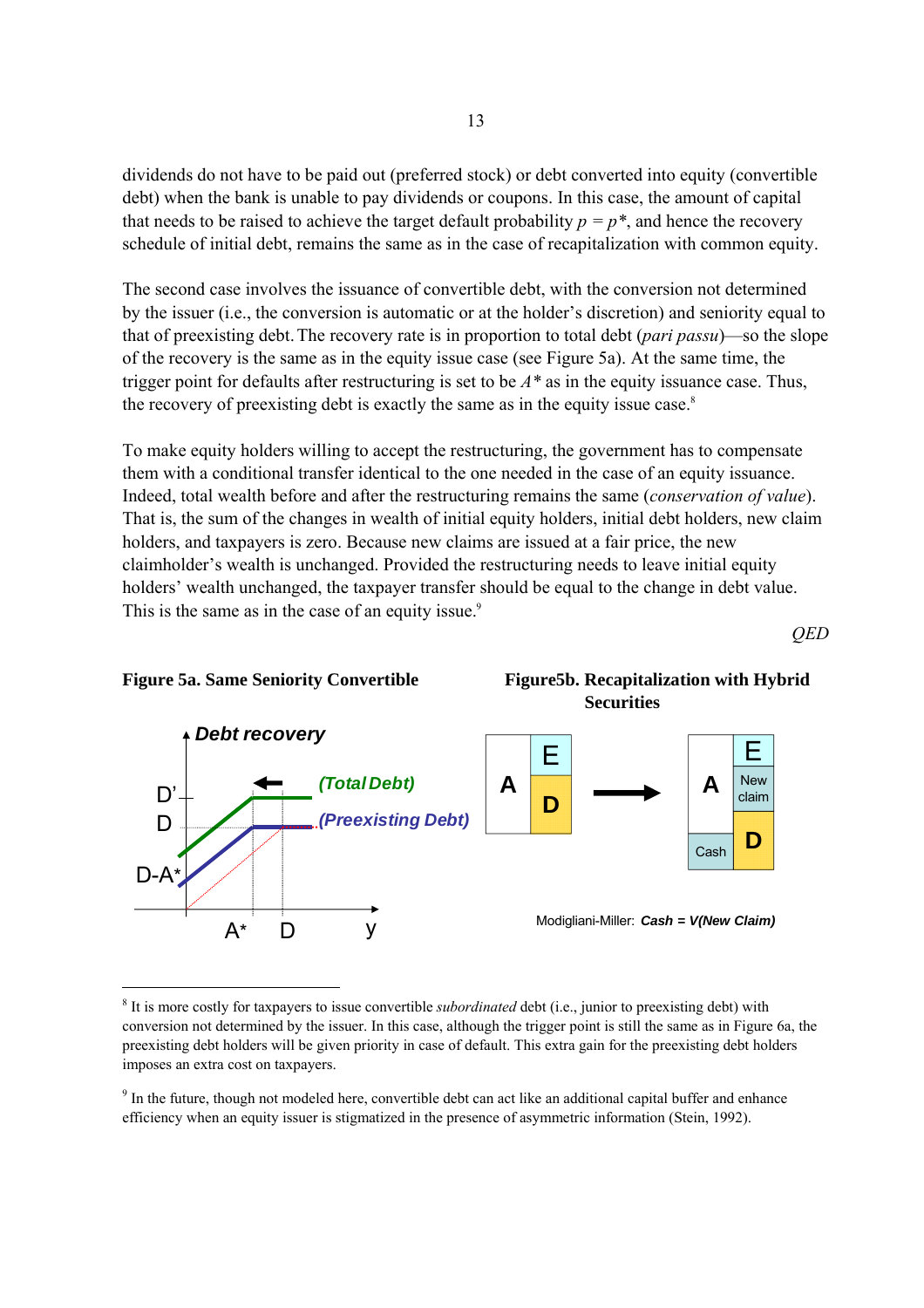dividends do not have to be paid out (preferred stock) or debt converted into equity (convertible debt) when the bank is unable to pay dividends or coupons. In this case, the amount of capital that needs to be raised to achieve the target default probability  $p = p^*$ , and hence the recovery schedule of initial debt, remains the same as in the case of recapitalization with common equity.

The second case involves the issuance of convertible debt, with the conversion not determined by the issuer (i.e., the conversion is automatic or at the holder's discretion) and seniority equal to that of preexisting debt.The recovery rate is in proportion to total debt (*pari passu*)—so the slope of the recovery is the same as in the equity issue case (see Figure 5a). At the same time, the trigger point for defaults after restructuring is set to be *A\** as in the equity issuance case. Thus, the recovery of preexisting debt is exactly the same as in the equity issue case.<sup>8</sup>

To make equity holders willing to accept the restructuring, the government has to compensate them with a conditional transfer identical to the one needed in the case of an equity issuance. Indeed, total wealth before and after the restructuring remains the same (*conservation of value*). That is, the sum of the changes in wealth of initial equity holders, initial debt holders, new claim holders, and taxpayers is zero. Because new claims are issued at a fair price, the new claimholder's wealth is unchanged. Provided the restructuring needs to leave initial equity holders' wealth unchanged, the taxpayer transfer should be equal to the change in debt value. This is the same as in the case of an equity issue.<sup>9</sup>

*QED* 



Figure 5a. Same Seniority Convertible Figure5b. Recapitalization with Hybrid

<sup>&</sup>lt;sup>8</sup> It is more costly for taxpayers to issue convertible *subordinated* debt (i.e., junior to preexisting debt) with conversion not determined by the issuer. In this case, although the trigger point is still the same as in Figure 6a, the preexisting debt holders will be given priority in case of default. This extra gain for the preexisting debt holders imposes an extra cost on taxpayers.

 $9$  In the future, though not modeled here, convertible debt can act like an additional capital buffer and enhance efficiency when an equity issuer is stigmatized in the presence of asymmetric information (Stein, 1992).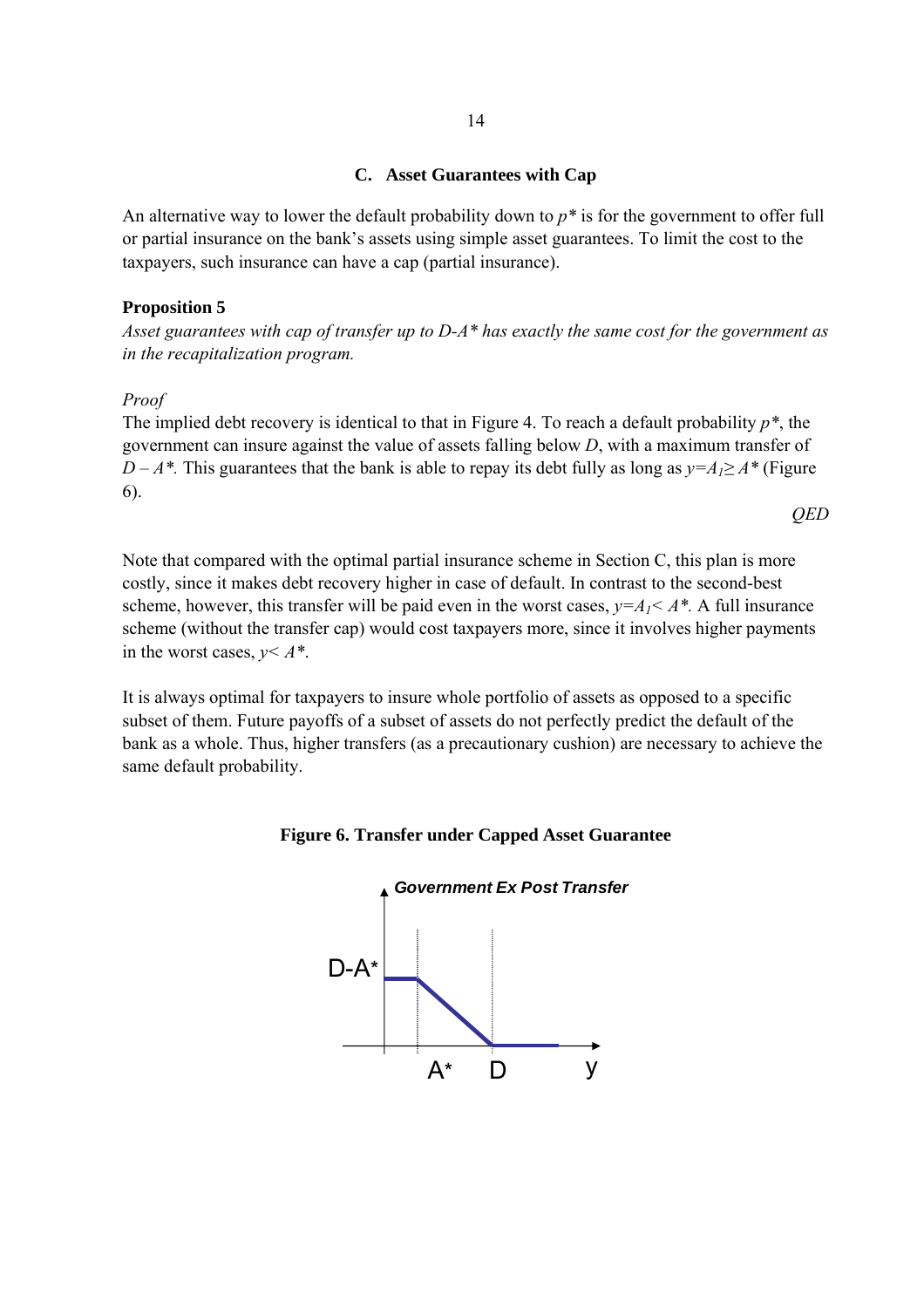## **C. Asset Guarantees with Cap**

An alternative way to lower the default probability down to *p\** is for the government to offer full or partial insurance on the bank's assets using simple asset guarantees. To limit the cost to the taxpayers, such insurance can have a cap (partial insurance).

# **Proposition 5**

*Asset guarantees with cap of transfer up to D-A\* has exactly the same cost for the government as in the recapitalization program.* 

### *Proof*

The implied debt recovery is identical to that in Figure 4. To reach a default probability *p\**, the government can insure against the value of assets falling below *D*, with a maximum transfer of *D – A\*.* This guarantees that the bank is able to repay its debt fully as long as  $y = A_1 \ge A^*$  (Figure 6).

*QED* 

Note that compared with the optimal partial insurance scheme in Section C, this plan is more costly, since it makes debt recovery higher in case of default. In contrast to the second-best scheme, however, this transfer will be paid even in the worst cases,  $v = A_1 < A^*$ . A full insurance scheme (without the transfer cap) would cost taxpayers more, since it involves higher payments in the worst cases, *y< A\**.

It is always optimal for taxpayers to insure whole portfolio of assets as opposed to a specific subset of them. Future payoffs of a subset of assets do not perfectly predict the default of the bank as a whole. Thus, higher transfers (as a precautionary cushion) are necessary to achieve the same default probability.

**Figure 6. Transfer under Capped Asset Guarantee** 

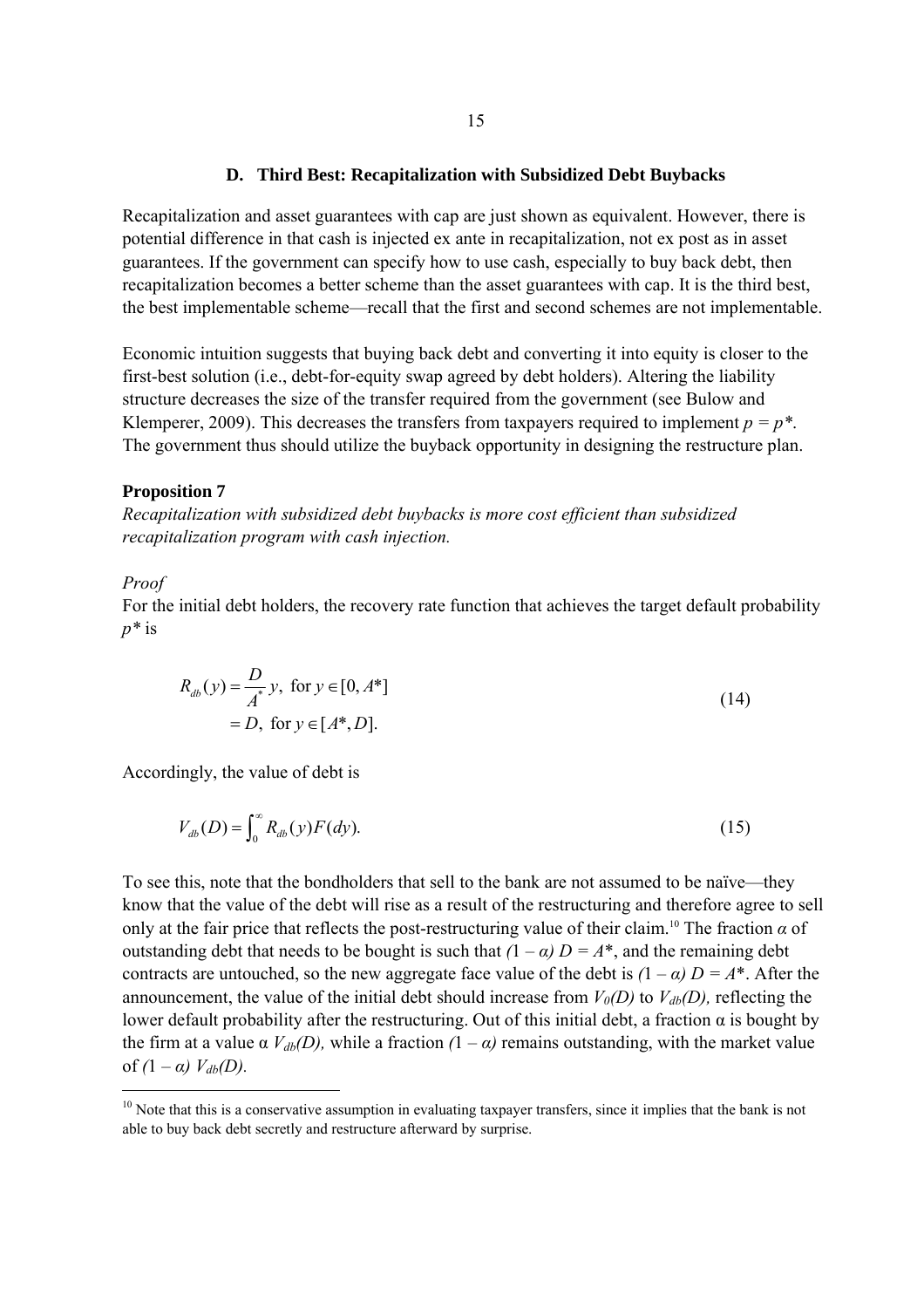#### **D. Third Best: Recapitalization with Subsidized Debt Buybacks**

Recapitalization and asset guarantees with cap are just shown as equivalent. However, there is potential difference in that cash is injected ex ante in recapitalization, not ex post as in asset guarantees. If the government can specify how to use cash, especially to buy back debt, then recapitalization becomes a better scheme than the asset guarantees with cap. It is the third best, the best implementable scheme—recall that the first and second schemes are not implementable.

Economic intuition suggests that buying back debt and converting it into equity is closer to the first-best solution (i.e., debt-for-equity swap agreed by debt holders). Altering the liability structure decreases the size of the transfer required from the government (see Bulow and Klemperer, 2009). This decreases the transfers from taxpayers required to implement  $p = p^*$ . The government thus should utilize the buyback opportunity in designing the restructure plan.

#### **Proposition 7**

*Recapitalization with subsidized debt buybacks is more cost efficient than subsidized recapitalization program with cash injection.* 

#### *Proof*

For the initial debt holders, the recovery rate function that achieves the target default probability *p\** is

$$
R_{ab}(y) = \frac{D}{A^*} y, \text{ for } y \in [0, A^*]
$$
  
= D, for  $y \in [A^*, D].$  (14)

Accordingly, the value of debt is

$$
V_{db}(D) = \int_0^\infty R_{db}(y) F(dy). \tag{15}
$$

To see this, note that the bondholders that sell to the bank are not assumed to be naïve—they know that the value of the debt will rise as a result of the restructuring and therefore agree to sell only at the fair price that reflects the post-restructuring value of their claim.<sup>10</sup> The fraction  $\alpha$  of outstanding debt that needs to be bought is such that  $(1 - \alpha) D = A^*$ , and the remaining debt contracts are untouched, so the new aggregate face value of the debt is  $(1 - \alpha) D = A^*$ . After the announcement, the value of the initial debt should increase from  $V_0(D)$  to  $V_{db}(D)$ , reflecting the lower default probability after the restructuring. Out of this initial debt, a fraction  $\alpha$  is bought by the firm at a value  $\alpha$   $V_{db}(D)$ , while a fraction  $(1 - \alpha)$  remains outstanding, with the market value of  $(1 - \alpha) V_{db}(D)$ .

 $10$  Note that this is a conservative assumption in evaluating taxpayer transfers, since it implies that the bank is not able to buy back debt secretly and restructure afterward by surprise.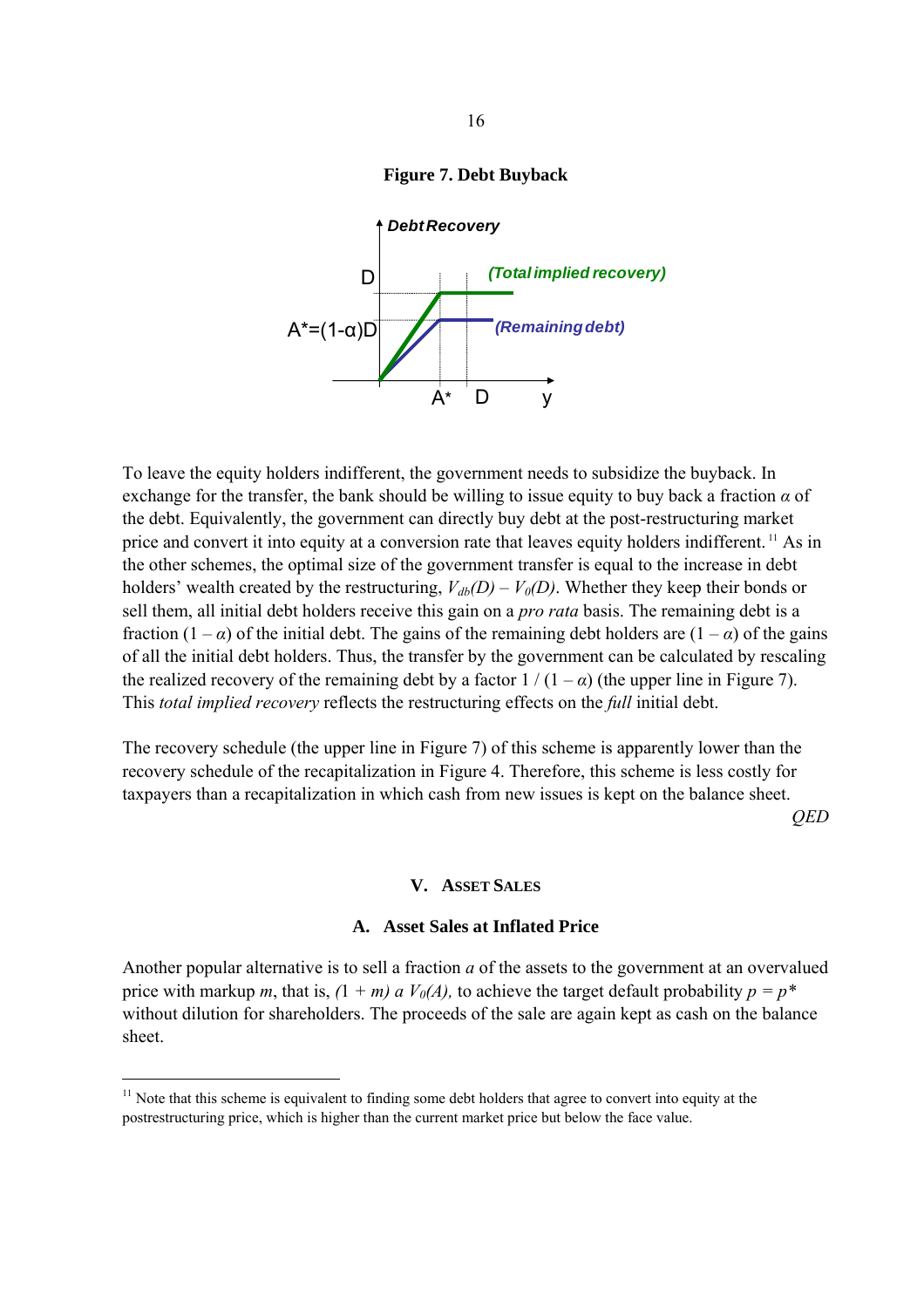



To leave the equity holders indifferent, the government needs to subsidize the buyback. In exchange for the transfer, the bank should be willing to issue equity to buy back a fraction *α* of the debt. Equivalently, the government can directly buy debt at the post-restructuring market price and convert it into equity at a conversion rate that leaves equity holders indifferent. 11 As in the other schemes, the optimal size of the government transfer is equal to the increase in debt holders' wealth created by the restructuring,  $V_{db}(D) - V_0(D)$ . Whether they keep their bonds or sell them, all initial debt holders receive this gain on a *pro rata* basis. The remaining debt is a fraction  $(1 - \alpha)$  of the initial debt. The gains of the remaining debt holders are  $(1 - \alpha)$  of the gains of all the initial debt holders. Thus, the transfer by the government can be calculated by rescaling the realized recovery of the remaining debt by a factor  $1/(1-\alpha)$  (the upper line in Figure 7). This *total implied recovery* reflects the restructuring effects on the *full* initial debt.

The recovery schedule (the upper line in Figure 7) of this scheme is apparently lower than the recovery schedule of the recapitalization in Figure 4. Therefore, this scheme is less costly for taxpayers than a recapitalization in which cash from new issues is kept on the balance sheet.

*QED* 

### **V. ASSET SALES**

# **A. Asset Sales at Inflated Price**

Another popular alternative is to sell a fraction *a* of the assets to the government at an overvalued price with markup *m*, that is,  $(1 + m)$  *a*  $V_0(A)$ , to achieve the target default probability  $p = p^*$ without dilution for shareholders. The proceeds of the sale are again kept as cash on the balance sheet.

<sup>&</sup>lt;sup>11</sup> Note that this scheme is equivalent to finding some debt holders that agree to convert into equity at the postrestructuring price, which is higher than the current market price but below the face value.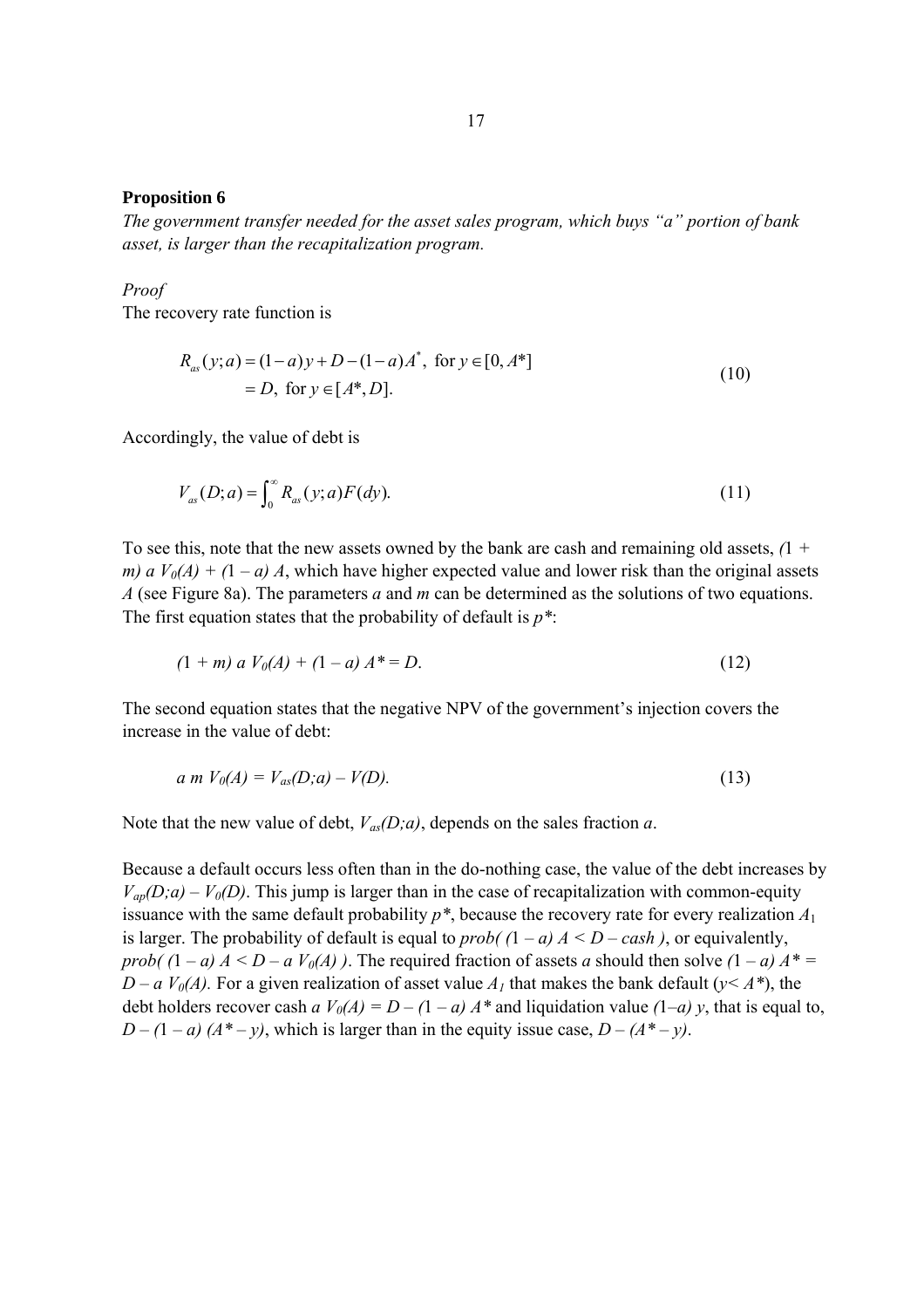### **Proposition 6**

*The government transfer needed for the asset sales program, which buys "a" portion of bank asset, is larger than the recapitalization program.* 

### *Proof*

The recovery rate function is

$$
R_{as}(y;a) = (1-a)y + D - (1-a)A^*, \text{ for } y \in [0, A^*]
$$
  
= D, for  $y \in [A^*, D].$  (10)

Accordingly, the value of debt is

$$
V_{as}(D; a) = \int_0^\infty R_{as}(y; a) F(dy).
$$
 (11)

To see this, note that the new assets owned by the bank are cash and remaining old assets, *(*1 *+ m)*  $a V_0(A) + (1 - a) A$ , which have higher expected value and lower risk than the original assets *A* (see Figure 8a). The parameters *a* and *m* can be determined as the solutions of two equations. The first equation states that the probability of default is *p\**:

$$
(1 + m) a V0(A) + (1 - a) A* = D.
$$
 (12)

The second equation states that the negative NPV of the government's injection covers the increase in the value of debt:

$$
a \, m \, V_0(A) = V_{as}(D; a) - V(D). \tag{13}
$$

Note that the new value of debt,  $V_{as}(D; a)$ , depends on the sales fraction *a*.

Because a default occurs less often than in the do-nothing case, the value of the debt increases by  $V_{ap}(D; a) - V_{0}(D)$ . This jump is larger than in the case of recapitalization with common-equity issuance with the same default probability  $p^*$ , because the recovery rate for every realization  $A_1$ is larger. The probability of default is equal to *prob(*  $(1 - a) A < D - cash$ ), or equivalently, *prob(*  $(1 - a) A \leq D - a V_0(A)$ ). The required fraction of assets *a* should then solve  $(1 - a) A^* =$ *D – a*  $V_0(A)$ *.* For a given realization of asset value  $A_1$  that makes the bank default ( $y \le A^*$ ), the debt holders recover cash  $a V_0(A) = D - (1 - a) A^*$  and liquidation value  $(1-a) y$ , that is equal to,  $D - (1 - a) (A^* - y)$ , which is larger than in the equity issue case,  $D - (A^* - y)$ .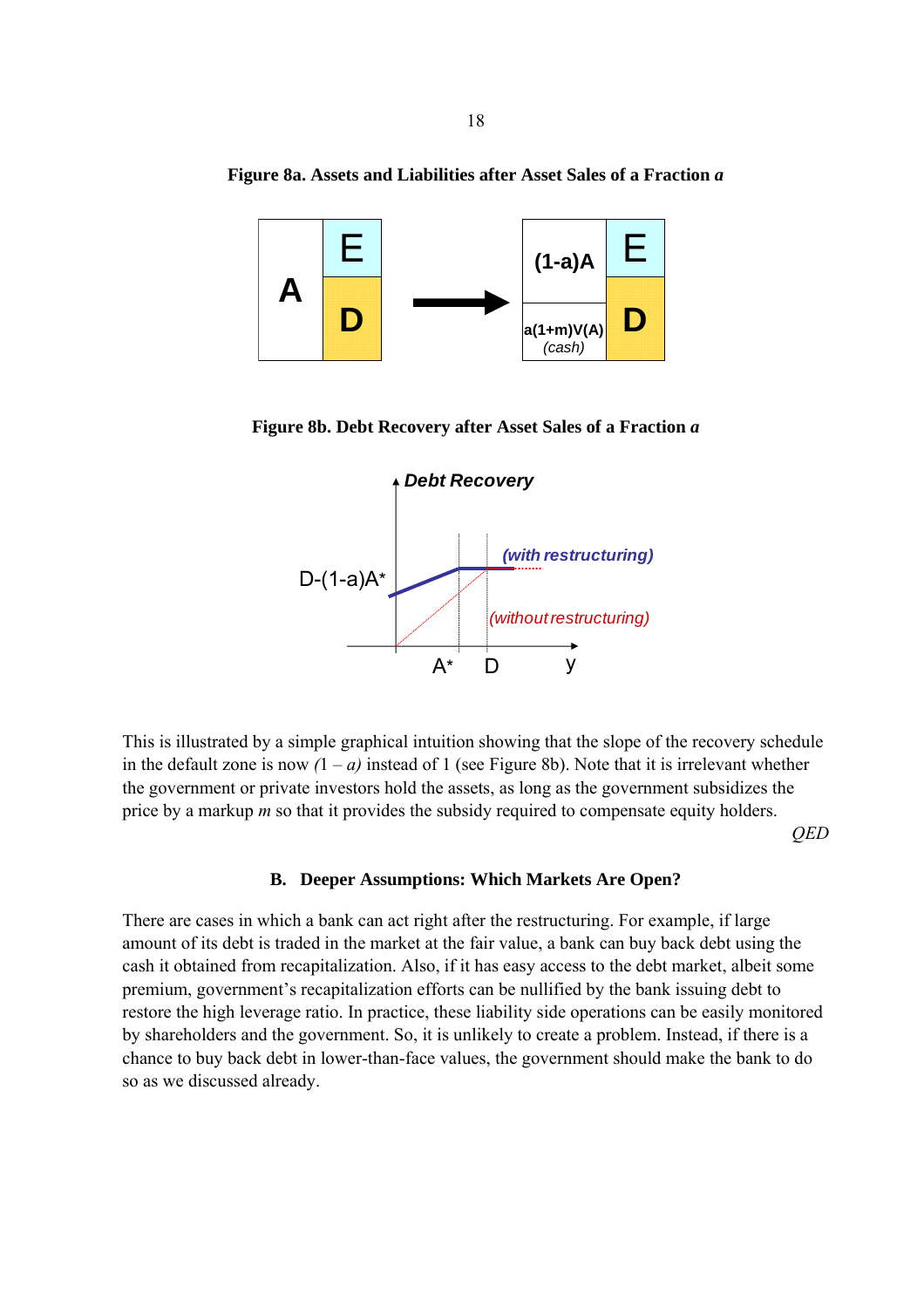

**Figure 8a. Assets and Liabilities after Asset Sales of a Fraction** *a*

**Figure 8b. Debt Recovery after Asset Sales of a Fraction** *a* 



This is illustrated by a simple graphical intuition showing that the slope of the recovery schedule in the default zone is now  $(1 - a)$  instead of 1 (see Figure 8b). Note that it is irrelevant whether the government or private investors hold the assets, as long as the government subsidizes the price by a markup *m* so that it provides the subsidy required to compensate equity holders.

*QED* 

### **B. Deeper Assumptions: Which Markets Are Open?**

There are cases in which a bank can act right after the restructuring. For example, if large amount of its debt is traded in the market at the fair value, a bank can buy back debt using the cash it obtained from recapitalization. Also, if it has easy access to the debt market, albeit some premium, government's recapitalization efforts can be nullified by the bank issuing debt to restore the high leverage ratio. In practice, these liability side operations can be easily monitored by shareholders and the government. So, it is unlikely to create a problem. Instead, if there is a chance to buy back debt in lower-than-face values, the government should make the bank to do so as we discussed already.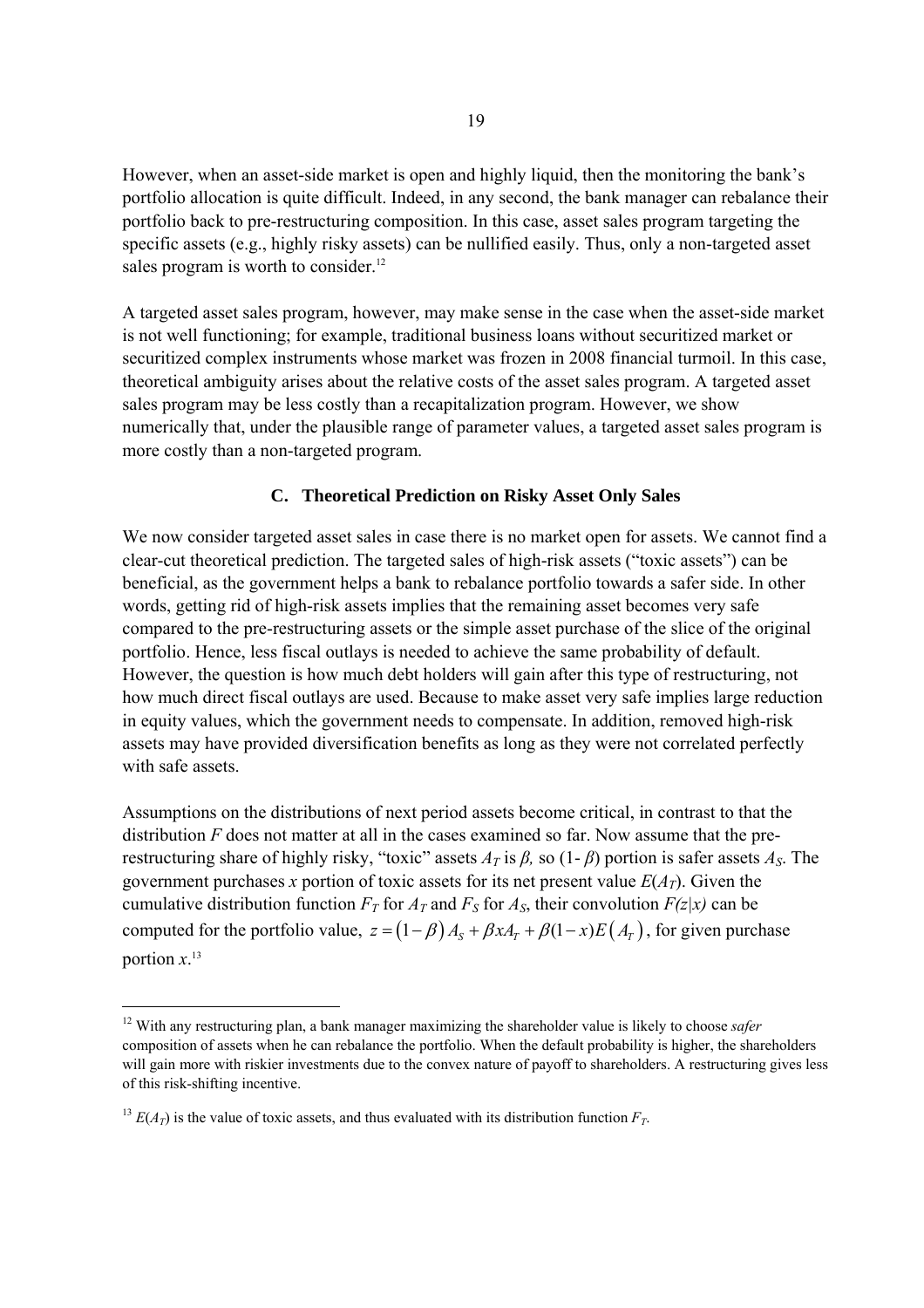However, when an asset-side market is open and highly liquid, then the monitoring the bank's portfolio allocation is quite difficult. Indeed, in any second, the bank manager can rebalance their portfolio back to pre-restructuring composition. In this case, asset sales program targeting the specific assets (e.g., highly risky assets) can be nullified easily. Thus, only a non-targeted asset sales program is worth to consider. $12$ 

A targeted asset sales program, however, may make sense in the case when the asset-side market is not well functioning; for example, traditional business loans without securitized market or securitized complex instruments whose market was frozen in 2008 financial turmoil. In this case, theoretical ambiguity arises about the relative costs of the asset sales program. A targeted asset sales program may be less costly than a recapitalization program. However, we show numerically that, under the plausible range of parameter values, a targeted asset sales program is more costly than a non-targeted program.

# **C. Theoretical Prediction on Risky Asset Only Sales**

We now consider targeted asset sales in case there is no market open for assets. We cannot find a clear-cut theoretical prediction. The targeted sales of high-risk assets ("toxic assets") can be beneficial, as the government helps a bank to rebalance portfolio towards a safer side. In other words, getting rid of high-risk assets implies that the remaining asset becomes very safe compared to the pre-restructuring assets or the simple asset purchase of the slice of the original portfolio. Hence, less fiscal outlays is needed to achieve the same probability of default. However, the question is how much debt holders will gain after this type of restructuring, not how much direct fiscal outlays are used. Because to make asset very safe implies large reduction in equity values, which the government needs to compensate. In addition, removed high-risk assets may have provided diversification benefits as long as they were not correlated perfectly with safe assets.

Assumptions on the distributions of next period assets become critical, in contrast to that the distribution *F* does not matter at all in the cases examined so far. Now assume that the prerestructuring share of highly risky, "toxic" assets *AT* is *β,* so (1- *β*) portion is safer assets *AS*. The government purchases *x* portion of toxic assets for its net present value  $E(A_T)$ . Given the cumulative distribution function  $F_T$  for  $A_T$  and  $F_S$  for  $A_S$ , their convolution  $F(z|x)$  can be computed for the portfolio value,  $z = (1 - \beta) A_s + \beta x A_r + \beta (1 - x) E (A_r)$ , for given purchase portion  $x$ <sup>13</sup>

<sup>&</sup>lt;sup>12</sup> With any restructuring plan, a bank manager maximizing the shareholder value is likely to choose *safer* composition of assets when he can rebalance the portfolio. When the default probability is higher, the shareholders will gain more with riskier investments due to the convex nature of payoff to shareholders. A restructuring gives less of this risk-shifting incentive.

<sup>&</sup>lt;sup>13</sup>  $E(A_T)$  is the value of toxic assets, and thus evaluated with its distribution function  $F_T$ .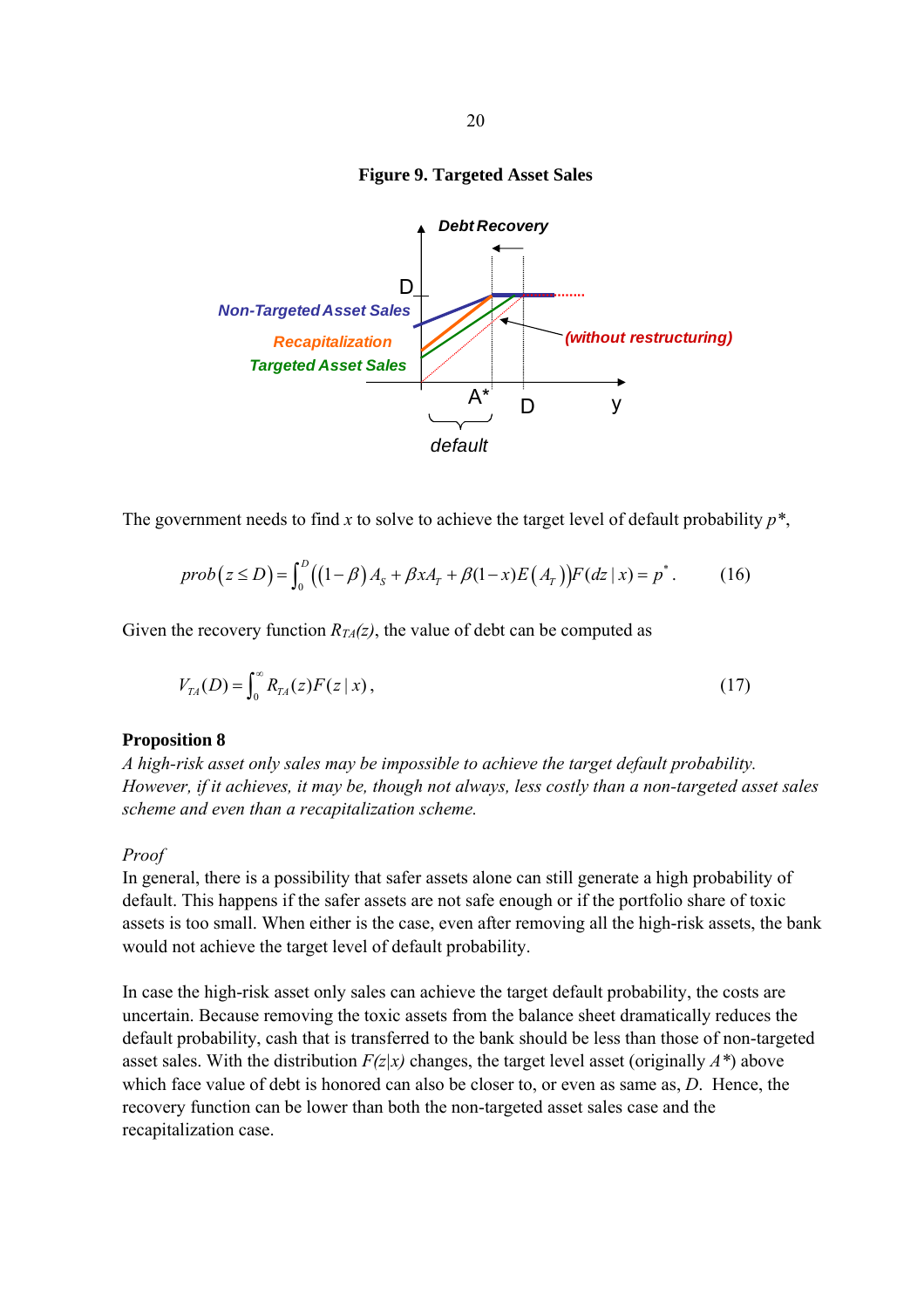

#### **Figure 9. Targeted Asset Sales**



The government needs to find *x* to solve to achieve the target level of default probability *p\**,

$$
prob(z \le D) = \int_0^D ((1-\beta)A_s + \beta x A_r + \beta (1-x)E(A_r))F(dz | x) = p^*.
$$
 (16)

Given the recovery function  $R_{TA}(z)$ , the value of debt can be computed as

$$
V_{TA}(D) = \int_0^\infty R_{TA}(z) F(z \mid x), \tag{17}
$$

## **Proposition 8**

*A high-risk asset only sales may be impossible to achieve the target default probability. However, if it achieves, it may be, though not always, less costly than a non-targeted asset sales scheme and even than a recapitalization scheme.* 

# *Proof*

In general, there is a possibility that safer assets alone can still generate a high probability of default. This happens if the safer assets are not safe enough or if the portfolio share of toxic assets is too small. When either is the case, even after removing all the high-risk assets, the bank would not achieve the target level of default probability.

In case the high-risk asset only sales can achieve the target default probability, the costs are uncertain. Because removing the toxic assets from the balance sheet dramatically reduces the default probability, cash that is transferred to the bank should be less than those of non-targeted asset sales. With the distribution  $F(z|x)$  changes, the target level asset (originally  $A^*$ ) above which face value of debt is honored can also be closer to, or even as same as, *D*. Hence, the recovery function can be lower than both the non-targeted asset sales case and the recapitalization case.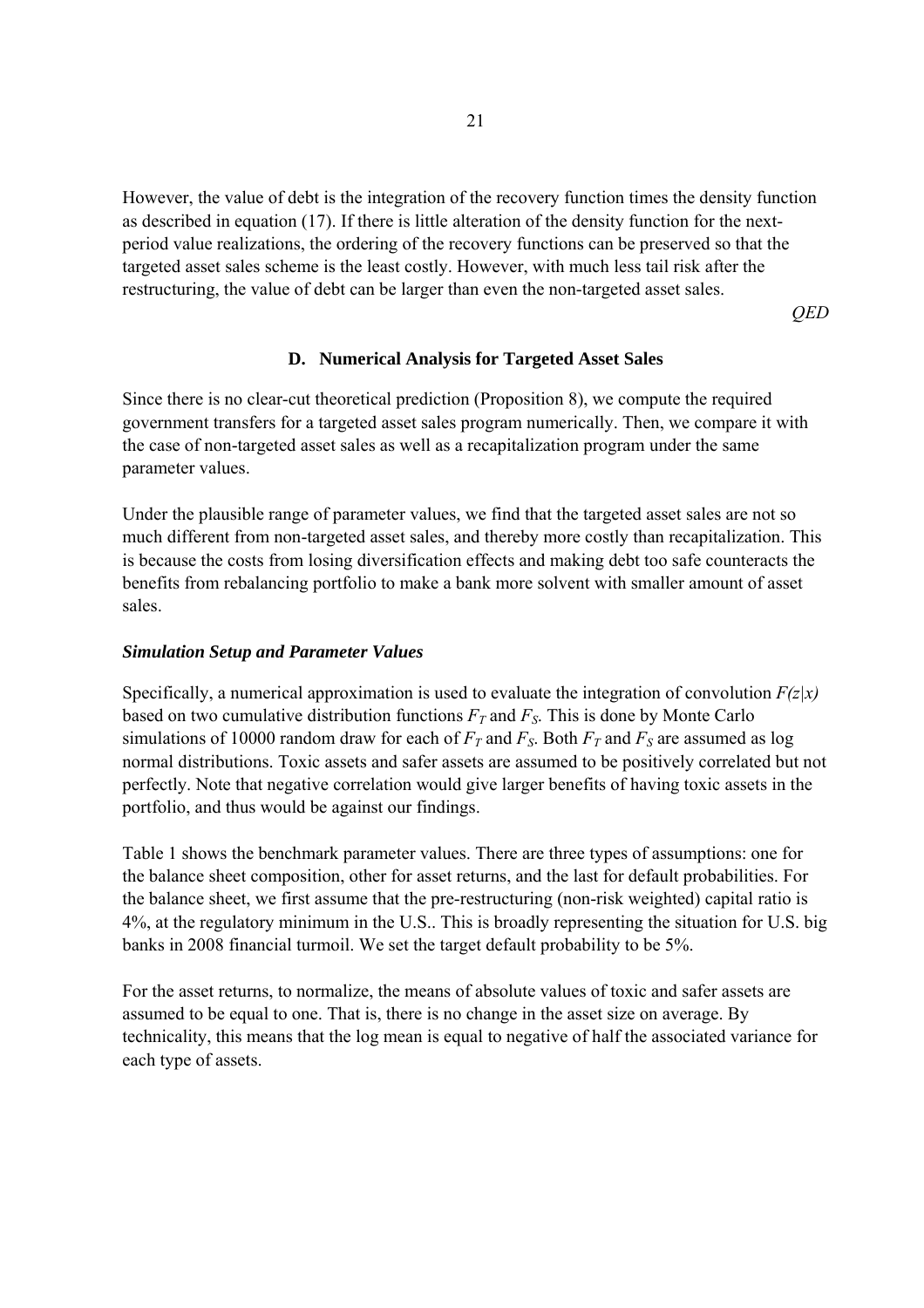However, the value of debt is the integration of the recovery function times the density function as described in equation (17). If there is little alteration of the density function for the nextperiod value realizations, the ordering of the recovery functions can be preserved so that the targeted asset sales scheme is the least costly. However, with much less tail risk after the restructuring, the value of debt can be larger than even the non-targeted asset sales.

*QED* 

# **D. Numerical Analysis for Targeted Asset Sales**

Since there is no clear-cut theoretical prediction (Proposition 8), we compute the required government transfers for a targeted asset sales program numerically. Then, we compare it with the case of non-targeted asset sales as well as a recapitalization program under the same parameter values.

Under the plausible range of parameter values, we find that the targeted asset sales are not so much different from non-targeted asset sales, and thereby more costly than recapitalization. This is because the costs from losing diversification effects and making debt too safe counteracts the benefits from rebalancing portfolio to make a bank more solvent with smaller amount of asset sales.

# *Simulation Setup and Parameter Values*

Specifically, a numerical approximation is used to evaluate the integration of convolution  $F(z|x)$ based on two cumulative distribution functions  $F_T$  and  $F_S$ . This is done by Monte Carlo simulations of 10000 random draw for each of  $F_T$  and  $F_S$ . Both  $F_T$  and  $F_S$  are assumed as log normal distributions. Toxic assets and safer assets are assumed to be positively correlated but not perfectly. Note that negative correlation would give larger benefits of having toxic assets in the portfolio, and thus would be against our findings.

Table 1 shows the benchmark parameter values. There are three types of assumptions: one for the balance sheet composition, other for asset returns, and the last for default probabilities. For the balance sheet, we first assume that the pre-restructuring (non-risk weighted) capital ratio is 4%, at the regulatory minimum in the U.S.. This is broadly representing the situation for U.S. big banks in 2008 financial turmoil. We set the target default probability to be 5%.

For the asset returns, to normalize, the means of absolute values of toxic and safer assets are assumed to be equal to one. That is, there is no change in the asset size on average. By technicality, this means that the log mean is equal to negative of half the associated variance for each type of assets.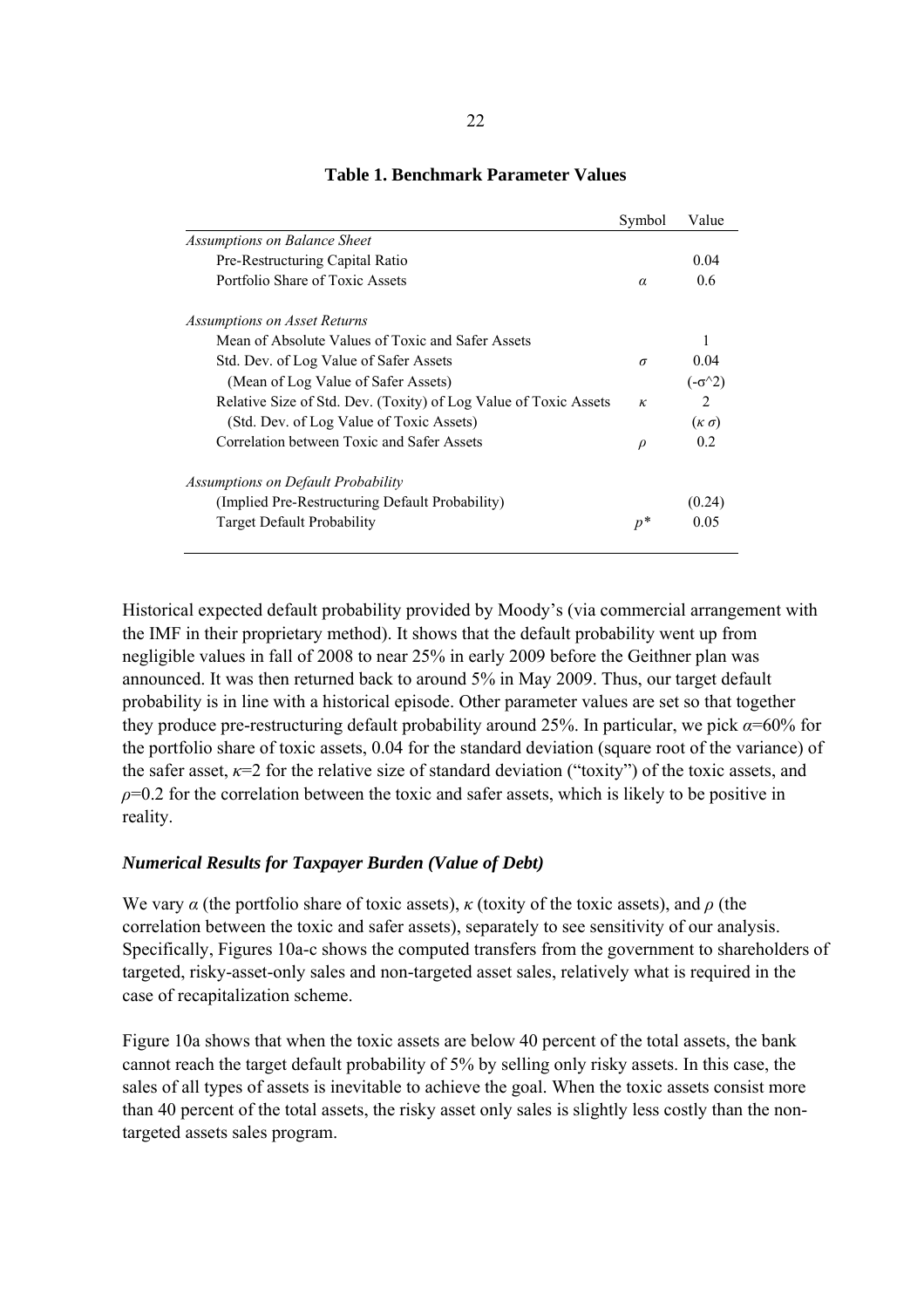|                                                                  | Symbol   | Value             |
|------------------------------------------------------------------|----------|-------------------|
| <b>Assumptions on Balance Sheet</b>                              |          |                   |
| Pre-Restructuring Capital Ratio                                  |          | 0.04              |
| Portfolio Share of Toxic Assets                                  | $\alpha$ | 0.6               |
| Assumptions on Asset Returns                                     |          |                   |
| Mean of Absolute Values of Toxic and Safer Assets                |          | 1                 |
| Std. Dev. of Log Value of Safer Assets                           | $\sigma$ | $(1)$ $(1)$       |
| (Mean of Log Value of Safer Assets)                              |          | $(-\sigma^2)$     |
| Relative Size of Std. Dev. (Toxity) of Log Value of Toxic Assets | $\kappa$ | 2                 |
| (Std. Dev. of Log Value of Toxic Assets)                         |          | $(\kappa \sigma)$ |
| Correlation between Toxic and Safer Assets                       | $\rho$   | 02                |
| Assumptions on Default Probability                               |          |                   |
| (Implied Pre-Restructuring Default Probability)                  |          | (0.24)            |
| <b>Target Default Probability</b>                                | $p^*$    | 0.05              |

# **Table 1. Benchmark Parameter Values**

Historical expected default probability provided by Moody's (via commercial arrangement with the IMF in their proprietary method). It shows that the default probability went up from negligible values in fall of 2008 to near 25% in early 2009 before the Geithner plan was announced. It was then returned back to around 5% in May 2009. Thus, our target default probability is in line with a historical episode. Other parameter values are set so that together they produce pre-restructuring default probability around 25%. In particular, we pick *α*=60% for the portfolio share of toxic assets, 0.04 for the standard deviation (square root of the variance) of the safer asset,  $\kappa=2$  for the relative size of standard deviation ("toxity") of the toxic assets, and  $\rho$ =0.2 for the correlation between the toxic and safer assets, which is likely to be positive in reality.

# *Numerical Results for Taxpayer Burden (Value of Debt)*

We vary  $\alpha$  (the portfolio share of toxic assets),  $\kappa$  (toxity of the toxic assets), and  $\rho$  (the correlation between the toxic and safer assets), separately to see sensitivity of our analysis. Specifically, Figures 10a-c shows the computed transfers from the government to shareholders of targeted, risky-asset-only sales and non-targeted asset sales, relatively what is required in the case of recapitalization scheme.

Figure 10a shows that when the toxic assets are below 40 percent of the total assets, the bank cannot reach the target default probability of 5% by selling only risky assets. In this case, the sales of all types of assets is inevitable to achieve the goal. When the toxic assets consist more than 40 percent of the total assets, the risky asset only sales is slightly less costly than the nontargeted assets sales program.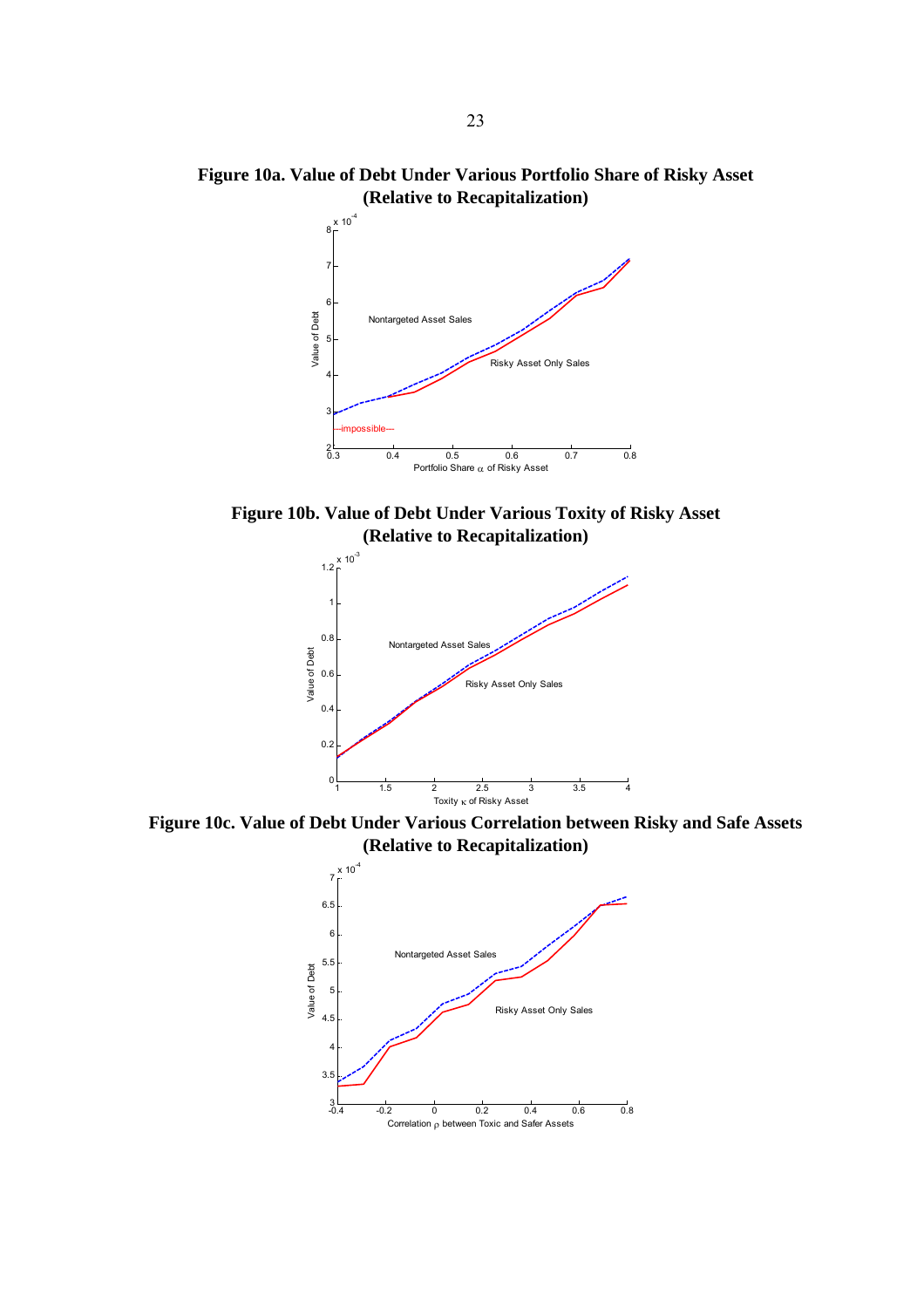**Figure 10a. Value of Debt Under Various Portfolio Share of Risky Asset (Relative to Recapitalization)** 



**Figure 10b. Value of Debt Under Various Toxity of Risky Asset (Relative to Recapitalization)** 



**Figure 10c. Value of Debt Under Various Correlation between Risky and Safe Assets (Relative to Recapitalization)** 

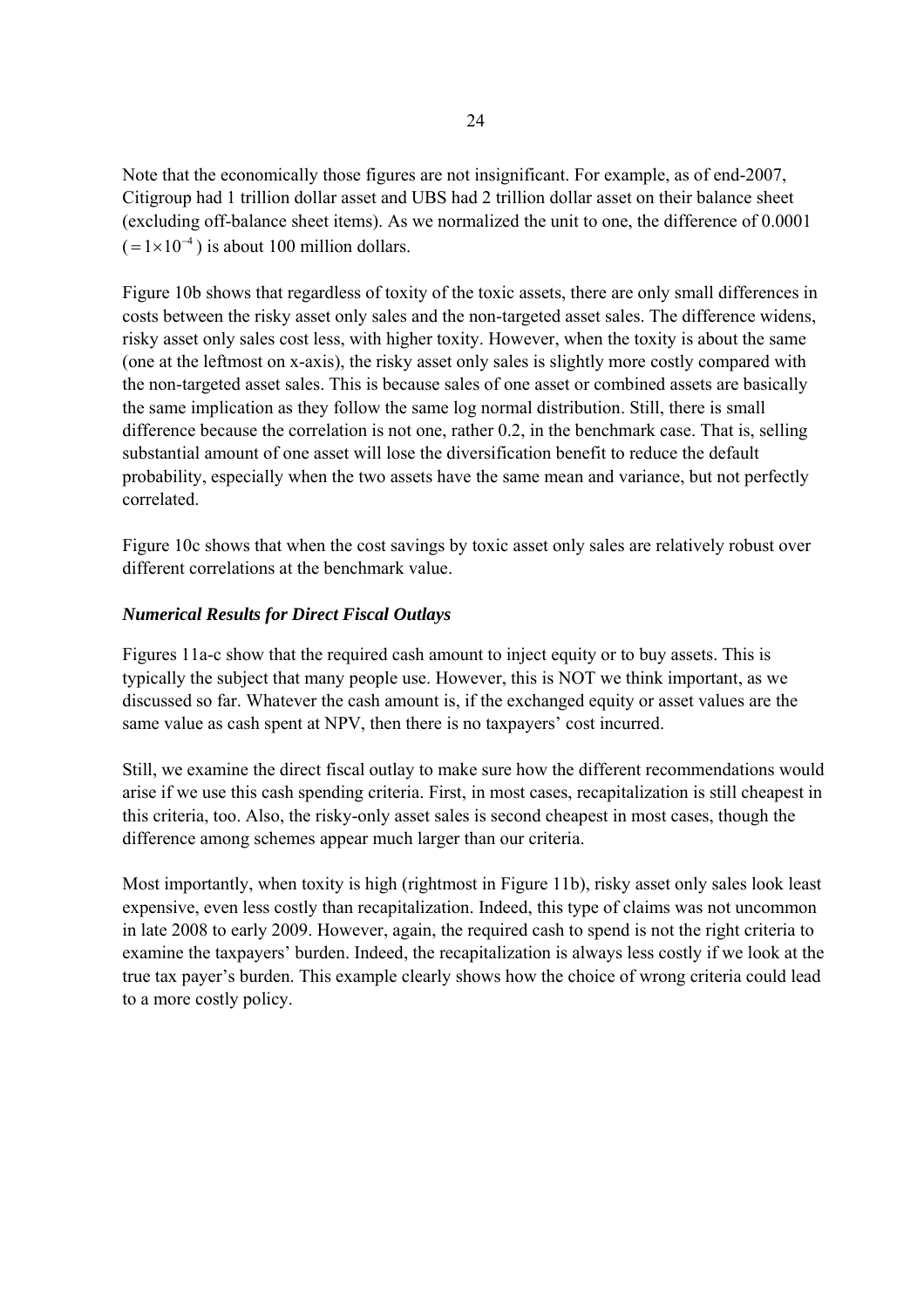Note that the economically those figures are not insignificant. For example, as of end-2007, Citigroup had 1 trillion dollar asset and UBS had 2 trillion dollar asset on their balance sheet (excluding off-balance sheet items). As we normalized the unit to one, the difference of 0.0001  $( = 1 \times 10^{-4})$  is about 100 million dollars.

Figure 10b shows that regardless of toxity of the toxic assets, there are only small differences in costs between the risky asset only sales and the non-targeted asset sales. The difference widens, risky asset only sales cost less, with higher toxity. However, when the toxity is about the same (one at the leftmost on x-axis), the risky asset only sales is slightly more costly compared with the non-targeted asset sales. This is because sales of one asset or combined assets are basically the same implication as they follow the same log normal distribution. Still, there is small difference because the correlation is not one, rather 0.2, in the benchmark case. That is, selling substantial amount of one asset will lose the diversification benefit to reduce the default probability, especially when the two assets have the same mean and variance, but not perfectly correlated.

Figure 10c shows that when the cost savings by toxic asset only sales are relatively robust over different correlations at the benchmark value.

# *Numerical Results for Direct Fiscal Outlays*

Figures 11a-c show that the required cash amount to inject equity or to buy assets. This is typically the subject that many people use. However, this is NOT we think important, as we discussed so far. Whatever the cash amount is, if the exchanged equity or asset values are the same value as cash spent at NPV, then there is no taxpayers' cost incurred.

Still, we examine the direct fiscal outlay to make sure how the different recommendations would arise if we use this cash spending criteria. First, in most cases, recapitalization is still cheapest in this criteria, too. Also, the risky-only asset sales is second cheapest in most cases, though the difference among schemes appear much larger than our criteria.

Most importantly, when toxity is high (rightmost in Figure 11b), risky asset only sales look least expensive, even less costly than recapitalization. Indeed, this type of claims was not uncommon in late 2008 to early 2009. However, again, the required cash to spend is not the right criteria to examine the taxpayers' burden. Indeed, the recapitalization is always less costly if we look at the true tax payer's burden. This example clearly shows how the choice of wrong criteria could lead to a more costly policy.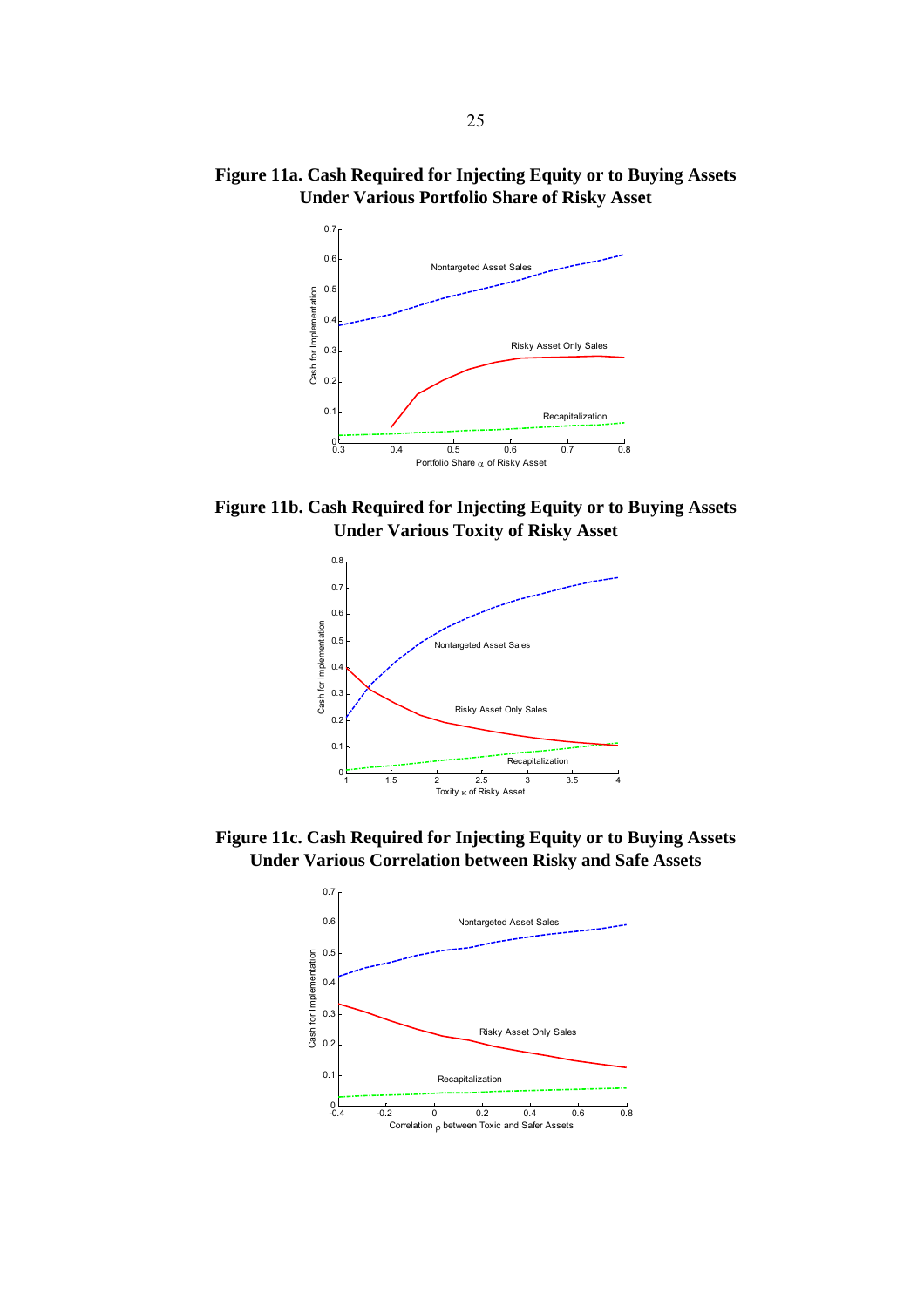**Figure 11a. Cash Required for Injecting Equity or to Buying Assets Under Various Portfolio Share of Risky Asset** 



**Figure 11b. Cash Required for Injecting Equity or to Buying Assets Under Various Toxity of Risky Asset** 



**Figure 11c. Cash Required for Injecting Equity or to Buying Assets Under Various Correlation between Risky and Safe Assets** 

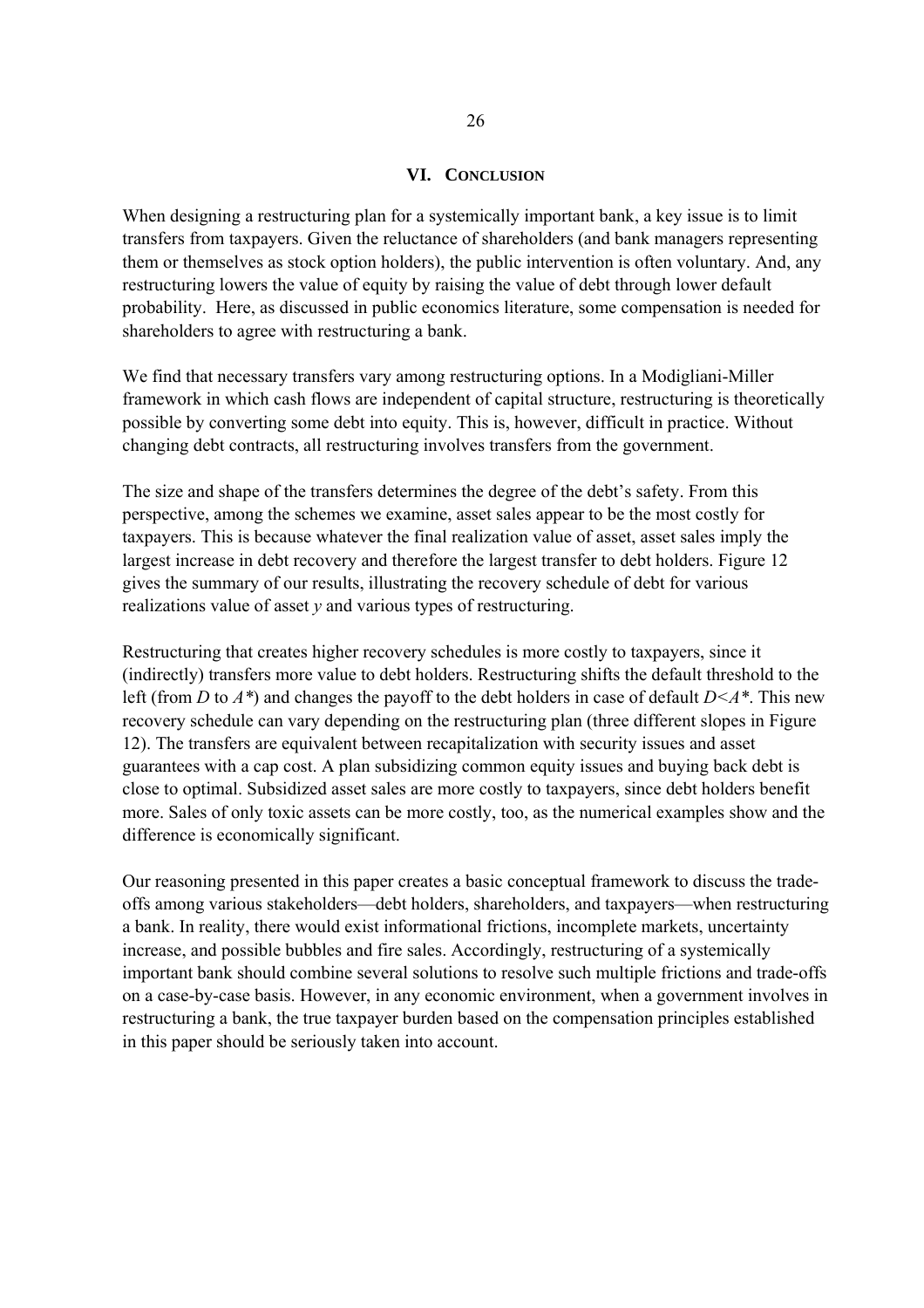#### **VI. CONCLUSION**

When designing a restructuring plan for a systemically important bank, a key issue is to limit transfers from taxpayers. Given the reluctance of shareholders (and bank managers representing them or themselves as stock option holders), the public intervention is often voluntary. And, any restructuring lowers the value of equity by raising the value of debt through lower default probability. Here, as discussed in public economics literature, some compensation is needed for shareholders to agree with restructuring a bank.

We find that necessary transfers vary among restructuring options. In a Modigliani-Miller framework in which cash flows are independent of capital structure, restructuring is theoretically possible by converting some debt into equity. This is, however, difficult in practice. Without changing debt contracts, all restructuring involves transfers from the government.

The size and shape of the transfers determines the degree of the debt's safety. From this perspective, among the schemes we examine, asset sales appear to be the most costly for taxpayers. This is because whatever the final realization value of asset, asset sales imply the largest increase in debt recovery and therefore the largest transfer to debt holders. Figure 12 gives the summary of our results, illustrating the recovery schedule of debt for various realizations value of asset *y* and various types of restructuring.

Restructuring that creates higher recovery schedules is more costly to taxpayers, since it (indirectly) transfers more value to debt holders. Restructuring shifts the default threshold to the left (from *D* to *A\**) and changes the payoff to the debt holders in case of default *D<A\**. This new recovery schedule can vary depending on the restructuring plan (three different slopes in Figure 12). The transfers are equivalent between recapitalization with security issues and asset guarantees with a cap cost. A plan subsidizing common equity issues and buying back debt is close to optimal. Subsidized asset sales are more costly to taxpayers, since debt holders benefit more. Sales of only toxic assets can be more costly, too, as the numerical examples show and the difference is economically significant.

Our reasoning presented in this paper creates a basic conceptual framework to discuss the tradeoffs among various stakeholders—debt holders, shareholders, and taxpayers—when restructuring a bank. In reality, there would exist informational frictions, incomplete markets, uncertainty increase, and possible bubbles and fire sales. Accordingly, restructuring of a systemically important bank should combine several solutions to resolve such multiple frictions and trade-offs on a case-by-case basis. However, in any economic environment, when a government involves in restructuring a bank, the true taxpayer burden based on the compensation principles established in this paper should be seriously taken into account.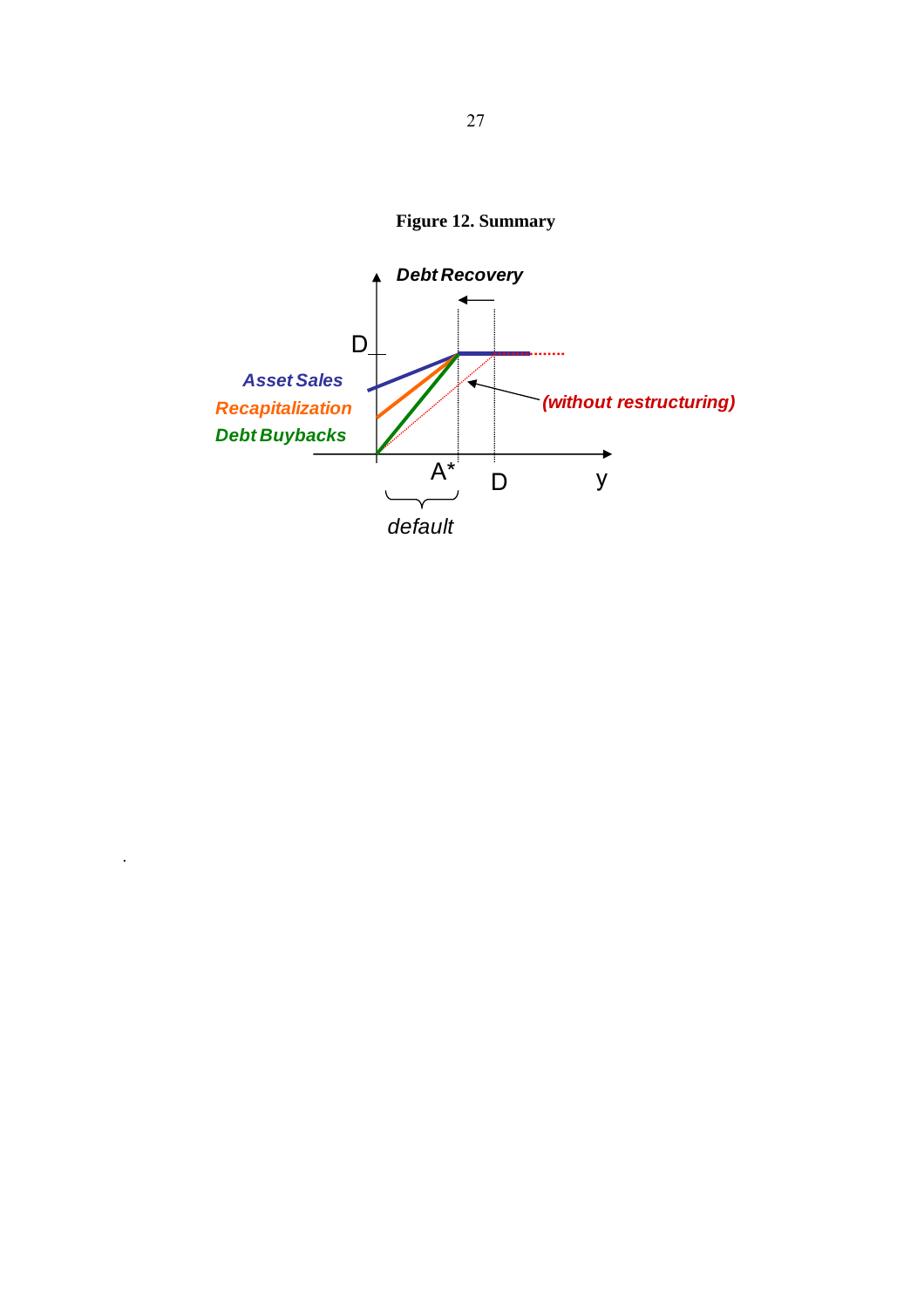**Figure 12. Summary** 



.